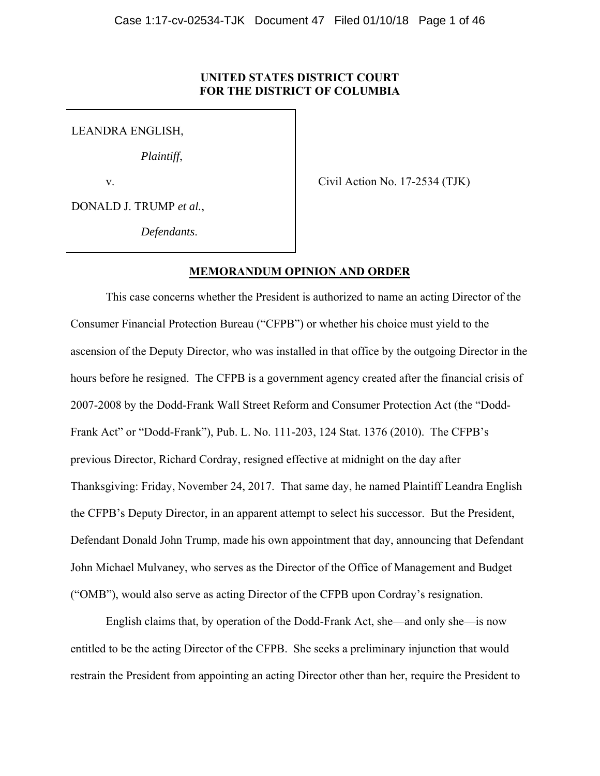## **UNITED STATES DISTRICT COURT FOR THE DISTRICT OF COLUMBIA**

LEANDRA ENGLISH,

*Plaintiff*,

v.

Civil Action No. 17-2534 (TJK)

DONALD J. TRUMP *et al.*,

*Defendants*.

## **MEMORANDUM OPINION AND ORDER**

This case concerns whether the President is authorized to name an acting Director of the Consumer Financial Protection Bureau ("CFPB") or whether his choice must yield to the ascension of the Deputy Director, who was installed in that office by the outgoing Director in the hours before he resigned. The CFPB is a government agency created after the financial crisis of 2007-2008 by the Dodd-Frank Wall Street Reform and Consumer Protection Act (the "Dodd-Frank Act" or "Dodd-Frank"), Pub. L. No. 111-203, 124 Stat. 1376 (2010). The CFPB's previous Director, Richard Cordray, resigned effective at midnight on the day after Thanksgiving: Friday, November 24, 2017. That same day, he named Plaintiff Leandra English the CFPB's Deputy Director, in an apparent attempt to select his successor. But the President, Defendant Donald John Trump, made his own appointment that day, announcing that Defendant John Michael Mulvaney, who serves as the Director of the Office of Management and Budget ("OMB"), would also serve as acting Director of the CFPB upon Cordray's resignation.

English claims that, by operation of the Dodd-Frank Act, she—and only she—is now entitled to be the acting Director of the CFPB. She seeks a preliminary injunction that would restrain the President from appointing an acting Director other than her, require the President to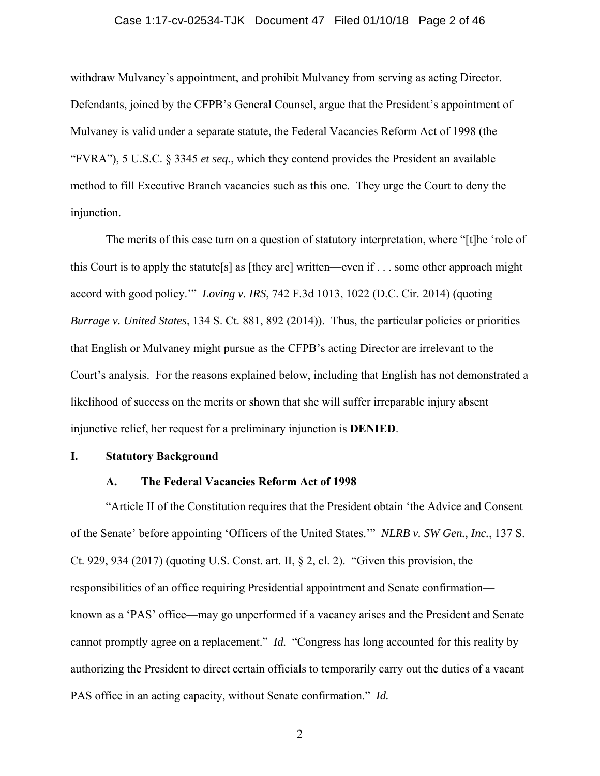#### Case 1:17-cv-02534-TJK Document 47 Filed 01/10/18 Page 2 of 46

withdraw Mulvaney's appointment, and prohibit Mulvaney from serving as acting Director. Defendants, joined by the CFPB's General Counsel, argue that the President's appointment of Mulvaney is valid under a separate statute, the Federal Vacancies Reform Act of 1998 (the "FVRA"), 5 U.S.C. § 3345 *et seq.*, which they contend provides the President an available method to fill Executive Branch vacancies such as this one. They urge the Court to deny the injunction.

The merits of this case turn on a question of statutory interpretation, where "[t]he 'role of this Court is to apply the statute[s] as [they are] written—even if . . . some other approach might accord with good policy.'" *Loving v. IRS*, 742 F.3d 1013, 1022 (D.C. Cir. 2014) (quoting *Burrage v. United States*, 134 S. Ct. 881, 892 (2014)). Thus, the particular policies or priorities that English or Mulvaney might pursue as the CFPB's acting Director are irrelevant to the Court's analysis. For the reasons explained below, including that English has not demonstrated a likelihood of success on the merits or shown that she will suffer irreparable injury absent injunctive relief, her request for a preliminary injunction is **DENIED**.

#### **I. Statutory Background**

## **A. The Federal Vacancies Reform Act of 1998**

"Article II of the Constitution requires that the President obtain 'the Advice and Consent of the Senate' before appointing 'Officers of the United States.'" *NLRB v. SW Gen., Inc.*, 137 S. Ct. 929, 934 (2017) (quoting U.S. Const. art. II, § 2, cl. 2). "Given this provision, the responsibilities of an office requiring Presidential appointment and Senate confirmation known as a 'PAS' office—may go unperformed if a vacancy arises and the President and Senate cannot promptly agree on a replacement." *Id.* "Congress has long accounted for this reality by authorizing the President to direct certain officials to temporarily carry out the duties of a vacant PAS office in an acting capacity, without Senate confirmation." *Id.*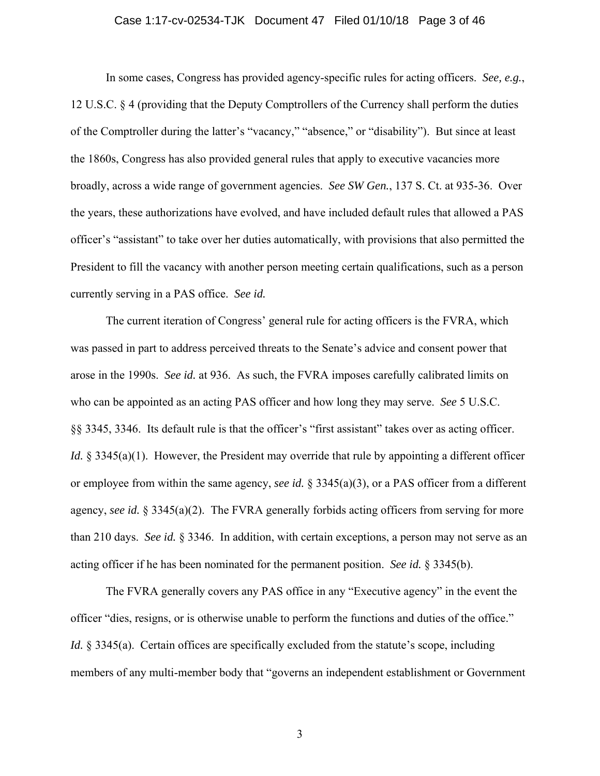#### Case 1:17-cv-02534-TJK Document 47 Filed 01/10/18 Page 3 of 46

In some cases, Congress has provided agency-specific rules for acting officers. *See, e.g.*, 12 U.S.C. § 4 (providing that the Deputy Comptrollers of the Currency shall perform the duties of the Comptroller during the latter's "vacancy," "absence," or "disability"). But since at least the 1860s, Congress has also provided general rules that apply to executive vacancies more broadly, across a wide range of government agencies. *See SW Gen.*, 137 S. Ct. at 935-36. Over the years, these authorizations have evolved, and have included default rules that allowed a PAS officer's "assistant" to take over her duties automatically, with provisions that also permitted the President to fill the vacancy with another person meeting certain qualifications, such as a person currently serving in a PAS office. *See id.*

The current iteration of Congress' general rule for acting officers is the FVRA, which was passed in part to address perceived threats to the Senate's advice and consent power that arose in the 1990s. *See id.* at 936. As such, the FVRA imposes carefully calibrated limits on who can be appointed as an acting PAS officer and how long they may serve. *See* 5 U.S.C. §§ 3345, 3346. Its default rule is that the officer's "first assistant" takes over as acting officer. *Id.* § 3345(a)(1). However, the President may override that rule by appointing a different officer or employee from within the same agency, *see id.* § 3345(a)(3), or a PAS officer from a different agency, *see id.* § 3345(a)(2). The FVRA generally forbids acting officers from serving for more than 210 days. *See id.* § 3346. In addition, with certain exceptions, a person may not serve as an acting officer if he has been nominated for the permanent position. *See id.* § 3345(b).

The FVRA generally covers any PAS office in any "Executive agency" in the event the officer "dies, resigns, or is otherwise unable to perform the functions and duties of the office." *Id.* § 3345(a). Certain offices are specifically excluded from the statute's scope, including members of any multi-member body that "governs an independent establishment or Government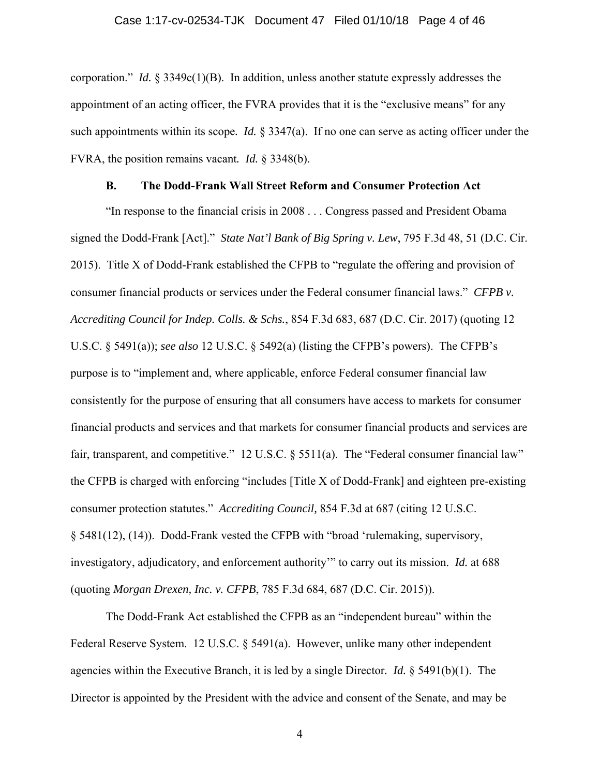corporation." *Id.* § 3349c(1)(B). In addition, unless another statute expressly addresses the appointment of an acting officer, the FVRA provides that it is the "exclusive means" for any such appointments within its scope*. Id.* § 3347(a). If no one can serve as acting officer under the FVRA, the position remains vacant*. Id.* § 3348(b).

## **B. The Dodd-Frank Wall Street Reform and Consumer Protection Act**

"In response to the financial crisis in 2008 . . . Congress passed and President Obama signed the Dodd-Frank [Act]." *State Nat'l Bank of Big Spring v. Lew*, 795 F.3d 48, 51 (D.C. Cir. 2015). Title X of Dodd-Frank established the CFPB to "regulate the offering and provision of consumer financial products or services under the Federal consumer financial laws." *CFPB v. Accrediting Council for Indep. Colls. & Schs.*, 854 F.3d 683, 687 (D.C. Cir. 2017) (quoting 12 U.S.C. § 5491(a)); *see also* 12 U.S.C. § 5492(a) (listing the CFPB's powers). The CFPB's purpose is to "implement and, where applicable, enforce Federal consumer financial law consistently for the purpose of ensuring that all consumers have access to markets for consumer financial products and services and that markets for consumer financial products and services are fair, transparent, and competitive." 12 U.S.C.  $\S$  5511(a). The "Federal consumer financial law" the CFPB is charged with enforcing "includes [Title X of Dodd-Frank] and eighteen pre-existing consumer protection statutes." *Accrediting Council,* 854 F.3d at 687 (citing 12 U.S.C. § 5481(12), (14)). Dodd-Frank vested the CFPB with "broad 'rulemaking, supervisory, investigatory, adjudicatory, and enforcement authority'" to carry out its mission. *Id.* at 688 (quoting *Morgan Drexen, Inc. v. CFPB*, 785 F.3d 684, 687 (D.C. Cir. 2015)).

The Dodd-Frank Act established the CFPB as an "independent bureau" within the Federal Reserve System. 12 U.S.C. § 5491(a). However, unlike many other independent agencies within the Executive Branch, it is led by a single Director*. Id.* § 5491(b)(1). The Director is appointed by the President with the advice and consent of the Senate, and may be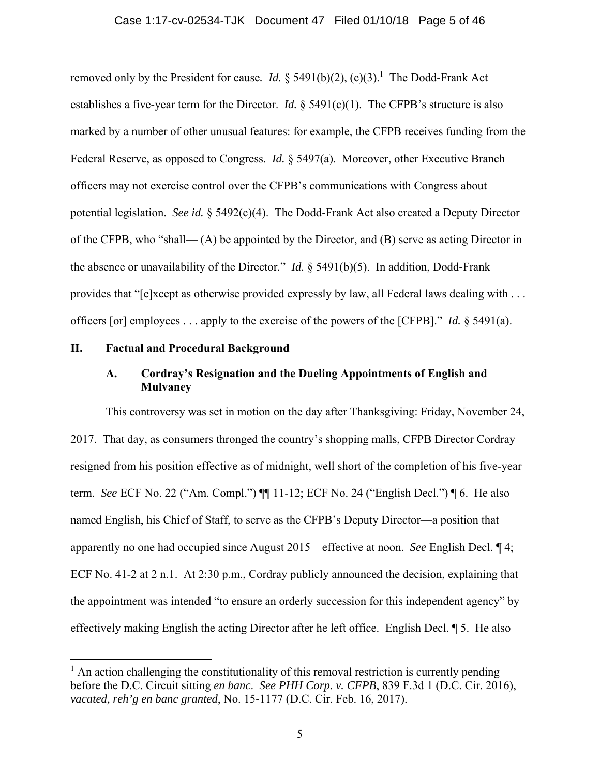#### Case 1:17-cv-02534-TJK Document 47 Filed 01/10/18 Page 5 of 46

removed only by the President for cause. *Id.*  $\S$  5491(b)(2), (c)(3).<sup>1</sup> The Dodd-Frank Act establishes a five-year term for the Director. *Id.* § 5491(c)(1). The CFPB's structure is also marked by a number of other unusual features: for example, the CFPB receives funding from the Federal Reserve, as opposed to Congress. *Id.* § 5497(a). Moreover, other Executive Branch officers may not exercise control over the CFPB's communications with Congress about potential legislation. *See id.* § 5492(c)(4). The Dodd-Frank Act also created a Deputy Director of the CFPB, who "shall— (A) be appointed by the Director, and (B) serve as acting Director in the absence or unavailability of the Director*.*" *Id.* § 5491(b)(5). In addition, Dodd-Frank provides that "[e]xcept as otherwise provided expressly by law, all Federal laws dealing with . . . officers [or] employees . . . apply to the exercise of the powers of the [CFPB]." *Id.* § 5491(a).

#### **II. Factual and Procedural Background**

 $\overline{a}$ 

## **A. Cordray's Resignation and the Dueling Appointments of English and Mulvaney**

This controversy was set in motion on the day after Thanksgiving: Friday, November 24, 2017. That day, as consumers thronged the country's shopping malls, CFPB Director Cordray resigned from his position effective as of midnight, well short of the completion of his five-year term. *See* ECF No. 22 ("Am. Compl.") ¶¶ 11-12; ECF No. 24 ("English Decl.") ¶ 6. He also named English, his Chief of Staff, to serve as the CFPB's Deputy Director—a position that apparently no one had occupied since August 2015—effective at noon. *See* English Decl. ¶ 4; ECF No. 41-2 at 2 n.1. At 2:30 p.m., Cordray publicly announced the decision, explaining that the appointment was intended "to ensure an orderly succession for this independent agency" by effectively making English the acting Director after he left office. English Decl. ¶ 5. He also

<sup>&</sup>lt;sup>1</sup> An action challenging the constitutionality of this removal restriction is currently pending before the D.C. Circuit sitting *en banc*. *See PHH Corp. v. CFPB*, 839 F.3d 1 (D.C. Cir. 2016), *vacated, reh'g en banc granted*, No. 15-1177 (D.C. Cir. Feb. 16, 2017).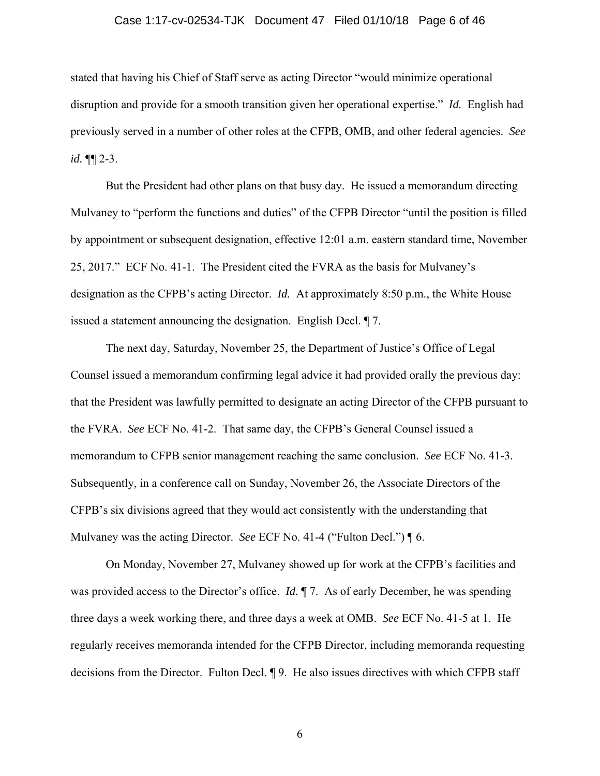#### Case 1:17-cv-02534-TJK Document 47 Filed 01/10/18 Page 6 of 46

stated that having his Chief of Staff serve as acting Director "would minimize operational disruption and provide for a smooth transition given her operational expertise." *Id.* English had previously served in a number of other roles at the CFPB, OMB, and other federal agencies. *See id.* ¶¶ 2-3.

But the President had other plans on that busy day. He issued a memorandum directing Mulvaney to "perform the functions and duties" of the CFPB Director "until the position is filled by appointment or subsequent designation, effective 12:01 a.m. eastern standard time, November 25, 2017." ECF No. 41-1. The President cited the FVRA as the basis for Mulvaney's designation as the CFPB's acting Director. *Id.* At approximately 8:50 p.m., the White House issued a statement announcing the designation. English Decl. ¶ 7.

The next day, Saturday, November 25, the Department of Justice's Office of Legal Counsel issued a memorandum confirming legal advice it had provided orally the previous day: that the President was lawfully permitted to designate an acting Director of the CFPB pursuant to the FVRA. *See* ECF No. 41-2. That same day, the CFPB's General Counsel issued a memorandum to CFPB senior management reaching the same conclusion. *See* ECF No. 41-3. Subsequently, in a conference call on Sunday, November 26, the Associate Directors of the CFPB's six divisions agreed that they would act consistently with the understanding that Mulvaney was the acting Director. *See* ECF No. 41-4 ("Fulton Decl.") ¶ 6.

On Monday, November 27, Mulvaney showed up for work at the CFPB's facilities and was provided access to the Director's office. *Id.* ¶ 7. As of early December, he was spending three days a week working there, and three days a week at OMB. *See* ECF No. 41-5 at 1. He regularly receives memoranda intended for the CFPB Director, including memoranda requesting decisions from the Director. Fulton Decl. ¶ 9. He also issues directives with which CFPB staff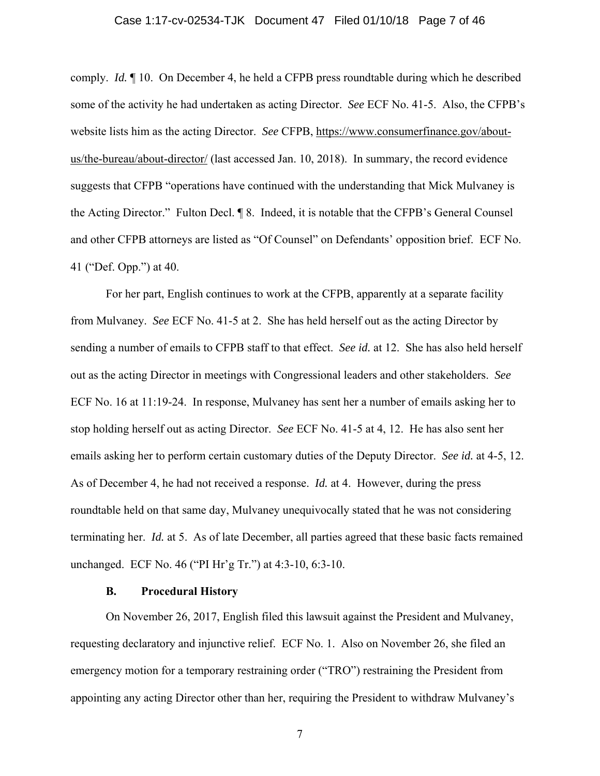#### Case 1:17-cv-02534-TJK Document 47 Filed 01/10/18 Page 7 of 46

comply. *Id.* ¶ 10. On December 4, he held a CFPB press roundtable during which he described some of the activity he had undertaken as acting Director. *See* ECF No. 41-5. Also, the CFPB's website lists him as the acting Director. *See* CFPB, https://www.consumerfinance.gov/aboutus/the-bureau/about-director/ (last accessed Jan. 10, 2018). In summary, the record evidence suggests that CFPB "operations have continued with the understanding that Mick Mulvaney is the Acting Director." Fulton Decl. ¶ 8. Indeed, it is notable that the CFPB's General Counsel and other CFPB attorneys are listed as "Of Counsel" on Defendants' opposition brief. ECF No. 41 ("Def. Opp.") at 40.

For her part, English continues to work at the CFPB, apparently at a separate facility from Mulvaney. *See* ECF No. 41-5 at 2. She has held herself out as the acting Director by sending a number of emails to CFPB staff to that effect. *See id.* at 12. She has also held herself out as the acting Director in meetings with Congressional leaders and other stakeholders. *See* ECF No. 16 at 11:19-24. In response, Mulvaney has sent her a number of emails asking her to stop holding herself out as acting Director. *See* ECF No. 41-5 at 4, 12. He has also sent her emails asking her to perform certain customary duties of the Deputy Director. *See id.* at 4-5, 12. As of December 4, he had not received a response. *Id.* at 4. However, during the press roundtable held on that same day, Mulvaney unequivocally stated that he was not considering terminating her. *Id.* at 5. As of late December, all parties agreed that these basic facts remained unchanged. ECF No. 46 ("PI Hr'g Tr.") at 4:3-10, 6:3-10.

#### **B. Procedural History**

On November 26, 2017, English filed this lawsuit against the President and Mulvaney, requesting declaratory and injunctive relief. ECF No. 1. Also on November 26, she filed an emergency motion for a temporary restraining order ("TRO") restraining the President from appointing any acting Director other than her, requiring the President to withdraw Mulvaney's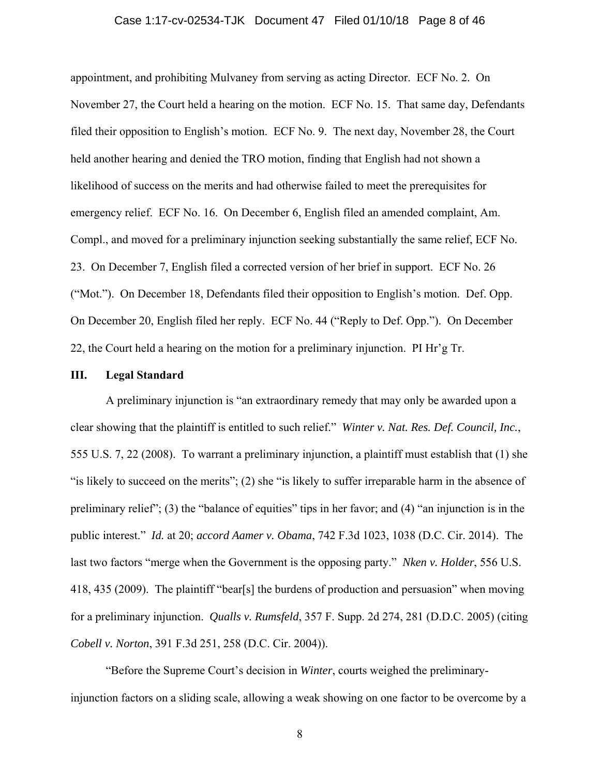#### Case 1:17-cv-02534-TJK Document 47 Filed 01/10/18 Page 8 of 46

appointment, and prohibiting Mulvaney from serving as acting Director. ECF No. 2. On November 27, the Court held a hearing on the motion. ECF No. 15. That same day, Defendants filed their opposition to English's motion. ECF No. 9. The next day, November 28, the Court held another hearing and denied the TRO motion, finding that English had not shown a likelihood of success on the merits and had otherwise failed to meet the prerequisites for emergency relief. ECF No. 16. On December 6, English filed an amended complaint, Am. Compl., and moved for a preliminary injunction seeking substantially the same relief, ECF No. 23. On December 7, English filed a corrected version of her brief in support. ECF No. 26 ("Mot."). On December 18, Defendants filed their opposition to English's motion. Def. Opp. On December 20, English filed her reply. ECF No. 44 ("Reply to Def. Opp."). On December 22, the Court held a hearing on the motion for a preliminary injunction. PI Hr'g Tr.

#### **III. Legal Standard**

A preliminary injunction is "an extraordinary remedy that may only be awarded upon a clear showing that the plaintiff is entitled to such relief." *Winter v. Nat. Res. Def. Council, Inc.*, 555 U.S. 7, 22 (2008). To warrant a preliminary injunction, a plaintiff must establish that (1) she "is likely to succeed on the merits"; (2) she "is likely to suffer irreparable harm in the absence of preliminary relief"; (3) the "balance of equities" tips in her favor; and (4) "an injunction is in the public interest." *Id.* at 20; *accord Aamer v. Obama*, 742 F.3d 1023, 1038 (D.C. Cir. 2014). The last two factors "merge when the Government is the opposing party." *Nken v. Holder*, 556 U.S. 418, 435 (2009). The plaintiff "bear[s] the burdens of production and persuasion" when moving for a preliminary injunction. *Qualls v. Rumsfeld*, 357 F. Supp. 2d 274, 281 (D.D.C. 2005) (citing *Cobell v. Norton*, 391 F.3d 251, 258 (D.C. Cir. 2004)).

"Before the Supreme Court's decision in *Winter*, courts weighed the preliminaryinjunction factors on a sliding scale, allowing a weak showing on one factor to be overcome by a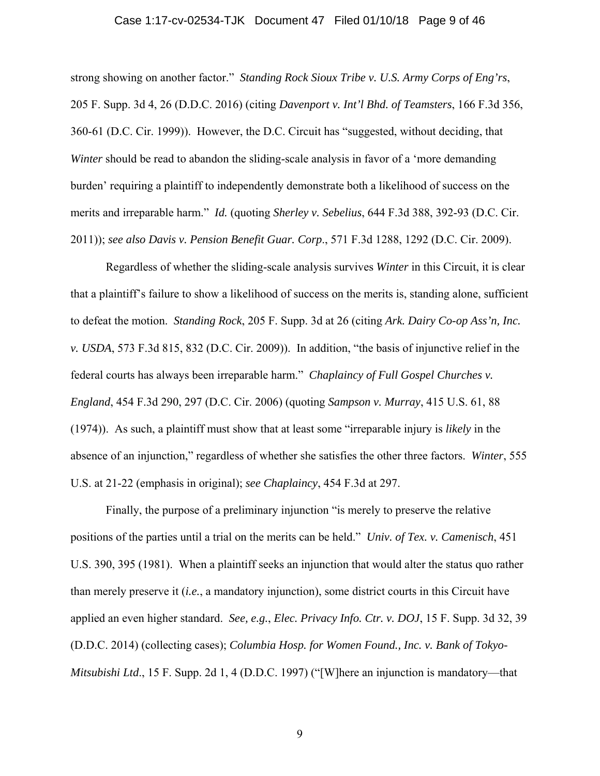#### Case 1:17-cv-02534-TJK Document 47 Filed 01/10/18 Page 9 of 46

strong showing on another factor." *Standing Rock Sioux Tribe v. U.S. Army Corps of Eng'rs*, 205 F. Supp. 3d 4, 26 (D.D.C. 2016) (citing *Davenport v. Int'l Bhd. of Teamsters*, 166 F.3d 356, 360-61 (D.C. Cir. 1999)). However, the D.C. Circuit has "suggested, without deciding, that *Winter* should be read to abandon the sliding-scale analysis in favor of a 'more demanding burden' requiring a plaintiff to independently demonstrate both a likelihood of success on the merits and irreparable harm." *Id.* (quoting *Sherley v. Sebelius*, 644 F.3d 388, 392-93 (D.C. Cir. 2011)); *see also Davis v. Pension Benefit Guar. Corp*., 571 F.3d 1288, 1292 (D.C. Cir. 2009).

Regardless of whether the sliding-scale analysis survives *Winter* in this Circuit, it is clear that a plaintiff's failure to show a likelihood of success on the merits is, standing alone, sufficient to defeat the motion. *Standing Rock*, 205 F. Supp. 3d at 26 (citing *Ark. Dairy Co-op Ass'n, Inc. v. USDA*, 573 F.3d 815, 832 (D.C. Cir. 2009)). In addition, "the basis of injunctive relief in the federal courts has always been irreparable harm." *Chaplaincy of Full Gospel Churches v. England*, 454 F.3d 290, 297 (D.C. Cir. 2006) (quoting *Sampson v. Murray*, 415 U.S. 61, 88 (1974)). As such, a plaintiff must show that at least some "irreparable injury is *likely* in the absence of an injunction," regardless of whether she satisfies the other three factors. *Winter*, 555 U.S. at 21-22 (emphasis in original); *see Chaplaincy*, 454 F.3d at 297.

Finally, the purpose of a preliminary injunction "is merely to preserve the relative positions of the parties until a trial on the merits can be held." *Univ. of Tex. v. Camenisch*, 451 U.S. 390, 395 (1981). When a plaintiff seeks an injunction that would alter the status quo rather than merely preserve it (*i.e.*, a mandatory injunction), some district courts in this Circuit have applied an even higher standard. *See, e.g.*, *Elec. Privacy Info. Ctr. v. DOJ*, 15 F. Supp. 3d 32, 39 (D.D.C. 2014) (collecting cases); *Columbia Hosp. for Women Found., Inc. v. Bank of Tokyo-Mitsubishi Ltd*., 15 F. Supp. 2d 1, 4 (D.D.C. 1997) ("[W]here an injunction is mandatory—that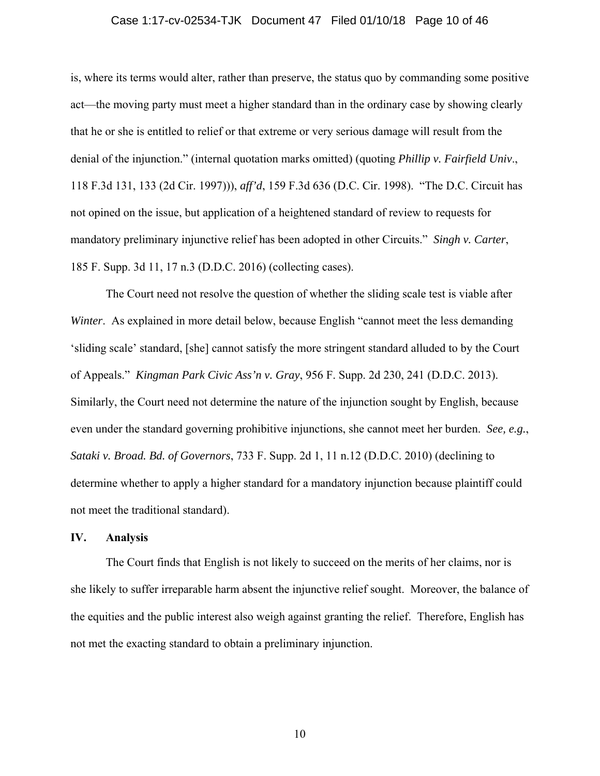#### Case 1:17-cv-02534-TJK Document 47 Filed 01/10/18 Page 10 of 46

is, where its terms would alter, rather than preserve, the status quo by commanding some positive act—the moving party must meet a higher standard than in the ordinary case by showing clearly that he or she is entitled to relief or that extreme or very serious damage will result from the denial of the injunction." (internal quotation marks omitted) (quoting *Phillip v. Fairfield Univ*., 118 F.3d 131, 133 (2d Cir. 1997))), *aff'd*, 159 F.3d 636 (D.C. Cir. 1998). "The D.C. Circuit has not opined on the issue, but application of a heightened standard of review to requests for mandatory preliminary injunctive relief has been adopted in other Circuits." *Singh v. Carter*, 185 F. Supp. 3d 11, 17 n.3 (D.D.C. 2016) (collecting cases).

The Court need not resolve the question of whether the sliding scale test is viable after *Winter*. As explained in more detail below, because English "cannot meet the less demanding 'sliding scale' standard, [she] cannot satisfy the more stringent standard alluded to by the Court of Appeals." *Kingman Park Civic Ass'n v. Gray*, 956 F. Supp. 2d 230, 241 (D.D.C. 2013). Similarly, the Court need not determine the nature of the injunction sought by English, because even under the standard governing prohibitive injunctions, she cannot meet her burden. *See, e.g.*, *Sataki v. Broad. Bd. of Governors*, 733 F. Supp. 2d 1, 11 n.12 (D.D.C. 2010) (declining to determine whether to apply a higher standard for a mandatory injunction because plaintiff could not meet the traditional standard).

#### **IV. Analysis**

The Court finds that English is not likely to succeed on the merits of her claims, nor is she likely to suffer irreparable harm absent the injunctive relief sought. Moreover, the balance of the equities and the public interest also weigh against granting the relief. Therefore, English has not met the exacting standard to obtain a preliminary injunction.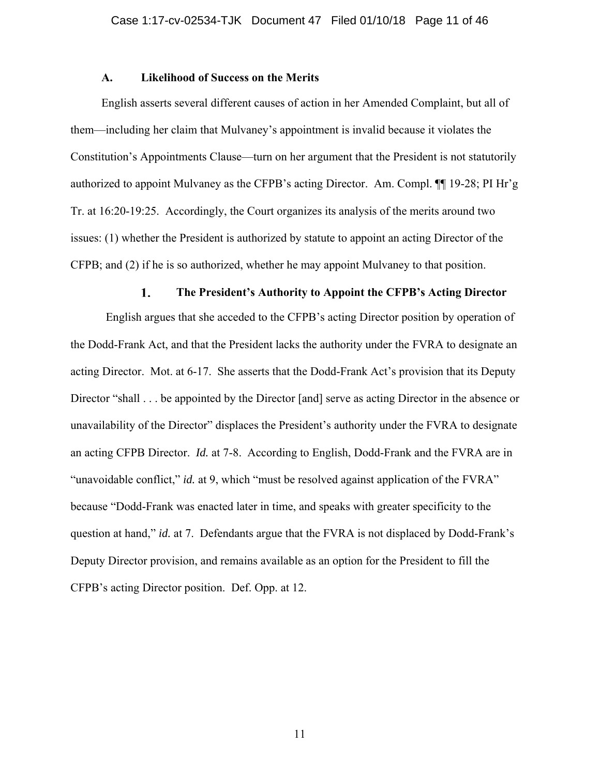#### **A. Likelihood of Success on the Merits**

English asserts several different causes of action in her Amended Complaint, but all of them—including her claim that Mulvaney's appointment is invalid because it violates the Constitution's Appointments Clause—turn on her argument that the President is not statutorily authorized to appoint Mulvaney as the CFPB's acting Director. Am. Compl. ¶¶ 19-28; PI Hr'g Tr. at 16:20-19:25. Accordingly, the Court organizes its analysis of the merits around two issues: (1) whether the President is authorized by statute to appoint an acting Director of the CFPB; and (2) if he is so authorized, whether he may appoint Mulvaney to that position.

#### **The President's Authority to Appoint the CFPB's Acting Director** 1.

English argues that she acceded to the CFPB's acting Director position by operation of the Dodd-Frank Act, and that the President lacks the authority under the FVRA to designate an acting Director. Mot. at 6-17. She asserts that the Dodd-Frank Act's provision that its Deputy Director "shall . . . be appointed by the Director [and] serve as acting Director in the absence or unavailability of the Director" displaces the President's authority under the FVRA to designate an acting CFPB Director. *Id.* at 7-8. According to English, Dodd-Frank and the FVRA are in "unavoidable conflict," *id.* at 9, which "must be resolved against application of the FVRA" because "Dodd-Frank was enacted later in time, and speaks with greater specificity to the question at hand," *id.* at 7. Defendants argue that the FVRA is not displaced by Dodd-Frank's Deputy Director provision, and remains available as an option for the President to fill the CFPB's acting Director position. Def. Opp. at 12.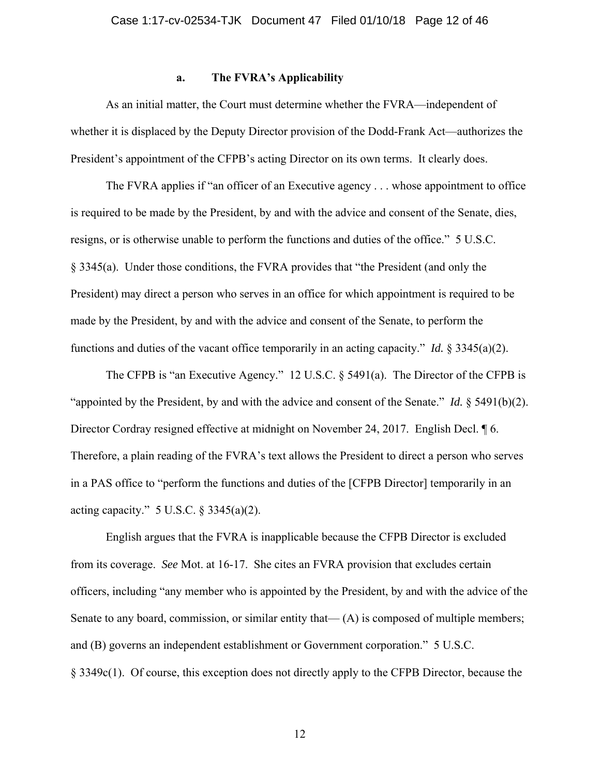#### **a. The FVRA's Applicability**

As an initial matter, the Court must determine whether the FVRA—independent of whether it is displaced by the Deputy Director provision of the Dodd-Frank Act—authorizes the President's appointment of the CFPB's acting Director on its own terms. It clearly does.

The FVRA applies if "an officer of an Executive agency . . . whose appointment to office is required to be made by the President, by and with the advice and consent of the Senate, dies, resigns, or is otherwise unable to perform the functions and duties of the office." 5 U.S.C. § 3345(a). Under those conditions, the FVRA provides that "the President (and only the President) may direct a person who serves in an office for which appointment is required to be made by the President, by and with the advice and consent of the Senate, to perform the functions and duties of the vacant office temporarily in an acting capacity." *Id.* § 3345(a)(2).

The CFPB is "an Executive Agency." 12 U.S.C. § 5491(a). The Director of the CFPB is "appointed by the President, by and with the advice and consent of the Senate." *Id.* § 5491(b)(2). Director Cordray resigned effective at midnight on November 24, 2017. English Decl.  $\sqrt{\ }$  6. Therefore, a plain reading of the FVRA's text allows the President to direct a person who serves in a PAS office to "perform the functions and duties of the [CFPB Director] temporarily in an acting capacity."  $5 \text{ U.S.C.} \$   $3345(a)(2)$ .

 English argues that the FVRA is inapplicable because the CFPB Director is excluded from its coverage. *See* Mot. at 16-17. She cites an FVRA provision that excludes certain officers, including "any member who is appointed by the President, by and with the advice of the Senate to any board, commission, or similar entity that— (A) is composed of multiple members; and (B) governs an independent establishment or Government corporation." 5 U.S.C. § 3349c(1). Of course, this exception does not directly apply to the CFPB Director, because the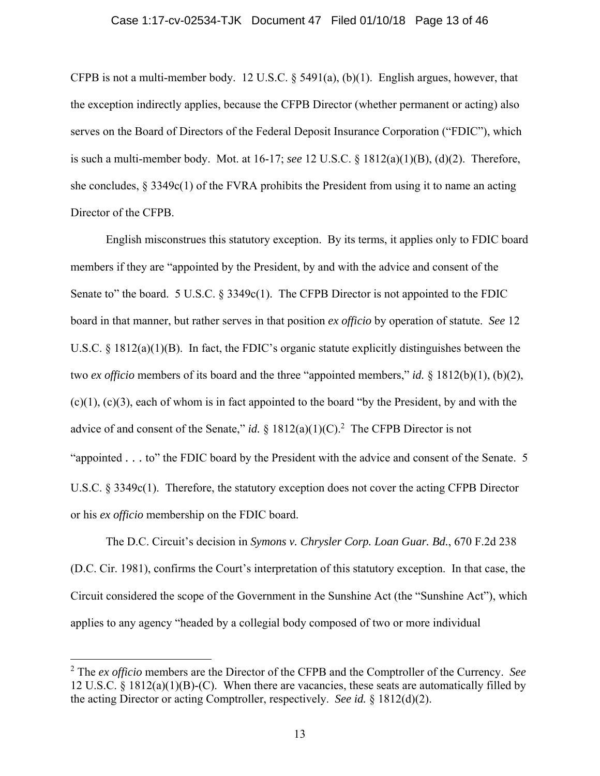#### Case 1:17-cv-02534-TJK Document 47 Filed 01/10/18 Page 13 of 46

CFPB is not a multi-member body. 12 U.S.C.  $\S$  5491(a), (b)(1). English argues, however, that the exception indirectly applies, because the CFPB Director (whether permanent or acting) also serves on the Board of Directors of the Federal Deposit Insurance Corporation ("FDIC"), which is such a multi-member body. Mot. at 16-17; *see* 12 U.S.C. § 1812(a)(1)(B), (d)(2). Therefore, she concludes,  $\S 3349c(1)$  of the FVRA prohibits the President from using it to name an acting Director of the CFPB.

English misconstrues this statutory exception. By its terms, it applies only to FDIC board members if they are "appointed by the President, by and with the advice and consent of the Senate to" the board. 5 U.S.C. § 3349c(1). The CFPB Director is not appointed to the FDIC board in that manner, but rather serves in that position *ex officio* by operation of statute. *See* 12 U.S.C. § 1812(a)(1)(B). In fact, the FDIC's organic statute explicitly distinguishes between the two *ex officio* members of its board and the three "appointed members," *id.* § 1812(b)(1), (b)(2),  $(c)(1)$ ,  $(c)(3)$ , each of whom is in fact appointed to the board "by the President, by and with the advice of and consent of the Senate," *id.* §  $1812(a)(1)(C)$ .<sup>2</sup> The CFPB Director is not "appointed . . . to" the FDIC board by the President with the advice and consent of the Senate. 5 U.S.C. § 3349c(1). Therefore, the statutory exception does not cover the acting CFPB Director or his *ex officio* membership on the FDIC board.

The D.C. Circuit's decision in *Symons v. Chrysler Corp. Loan Guar. Bd.*, 670 F.2d 238 (D.C. Cir. 1981), confirms the Court's interpretation of this statutory exception. In that case, the Circuit considered the scope of the Government in the Sunshine Act (the "Sunshine Act"), which applies to any agency "headed by a collegial body composed of two or more individual

 $\overline{a}$ 

<sup>2</sup> The *ex officio* members are the Director of the CFPB and the Comptroller of the Currency. *See* 12 U.S.C. § 1812(a)(1)(B)-(C). When there are vacancies, these seats are automatically filled by the acting Director or acting Comptroller, respectively. *See id.* § 1812(d)(2).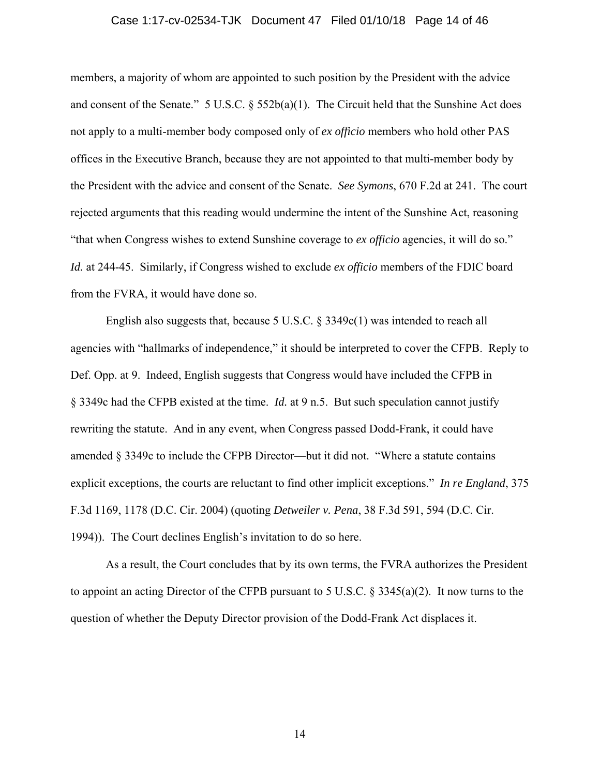#### Case 1:17-cv-02534-TJK Document 47 Filed 01/10/18 Page 14 of 46

members, a majority of whom are appointed to such position by the President with the advice and consent of the Senate."  $5 \text{ U.S.C.}$  §  $552b(a)(1)$ . The Circuit held that the Sunshine Act does not apply to a multi-member body composed only of *ex officio* members who hold other PAS offices in the Executive Branch, because they are not appointed to that multi-member body by the President with the advice and consent of the Senate. *See Symons*, 670 F.2d at 241. The court rejected arguments that this reading would undermine the intent of the Sunshine Act, reasoning "that when Congress wishes to extend Sunshine coverage to *ex officio* agencies, it will do so." *Id.* at 244-45. Similarly, if Congress wished to exclude *ex officio* members of the FDIC board from the FVRA, it would have done so.

English also suggests that, because 5 U.S.C. § 3349c(1) was intended to reach all agencies with "hallmarks of independence," it should be interpreted to cover the CFPB. Reply to Def. Opp. at 9. Indeed, English suggests that Congress would have included the CFPB in § 3349c had the CFPB existed at the time. *Id.* at 9 n.5. But such speculation cannot justify rewriting the statute. And in any event, when Congress passed Dodd-Frank, it could have amended § 3349c to include the CFPB Director—but it did not. "Where a statute contains explicit exceptions, the courts are reluctant to find other implicit exceptions." *In re England*, 375 F.3d 1169, 1178 (D.C. Cir. 2004) (quoting *Detweiler v. Pena*, 38 F.3d 591, 594 (D.C. Cir. 1994)). The Court declines English's invitation to do so here.

As a result, the Court concludes that by its own terms, the FVRA authorizes the President to appoint an acting Director of the CFPB pursuant to 5 U.S.C. § 3345(a)(2). It now turns to the question of whether the Deputy Director provision of the Dodd-Frank Act displaces it.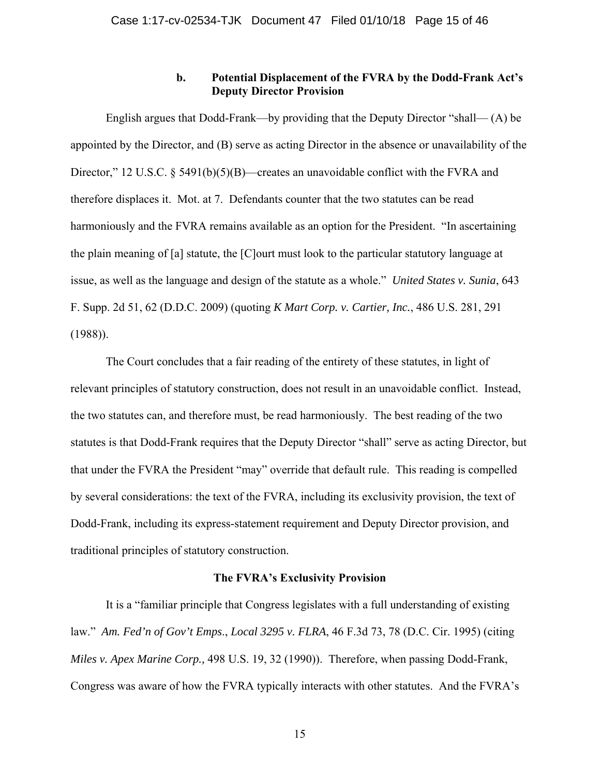## **b. Potential Displacement of the FVRA by the Dodd-Frank Act's Deputy Director Provision**

English argues that Dodd-Frank—by providing that the Deputy Director "shall— (A) be appointed by the Director, and (B) serve as acting Director in the absence or unavailability of the Director," 12 U.S.C. § 5491(b)(5)(B)—creates an unavoidable conflict with the FVRA and therefore displaces it. Mot. at 7. Defendants counter that the two statutes can be read harmoniously and the FVRA remains available as an option for the President. "In ascertaining the plain meaning of [a] statute, the [C]ourt must look to the particular statutory language at issue, as well as the language and design of the statute as a whole." *United States v. Sunia*, 643 F. Supp. 2d 51, 62 (D.D.C. 2009) (quoting *K Mart Corp. v. Cartier, Inc.*, 486 U.S. 281, 291 (1988)).

The Court concludes that a fair reading of the entirety of these statutes, in light of relevant principles of statutory construction, does not result in an unavoidable conflict. Instead, the two statutes can, and therefore must, be read harmoniously. The best reading of the two statutes is that Dodd-Frank requires that the Deputy Director "shall" serve as acting Director, but that under the FVRA the President "may" override that default rule. This reading is compelled by several considerations: the text of the FVRA, including its exclusivity provision, the text of Dodd-Frank, including its express-statement requirement and Deputy Director provision, and traditional principles of statutory construction.

## **The FVRA's Exclusivity Provision**

It is a "familiar principle that Congress legislates with a full understanding of existing law." *Am. Fed'n of Gov't Emps*., *Local 3295 v. FLRA*, 46 F.3d 73, 78 (D.C. Cir. 1995) (citing *Miles v. Apex Marine Corp.,* 498 U.S. 19, 32 (1990)). Therefore, when passing Dodd-Frank, Congress was aware of how the FVRA typically interacts with other statutes. And the FVRA's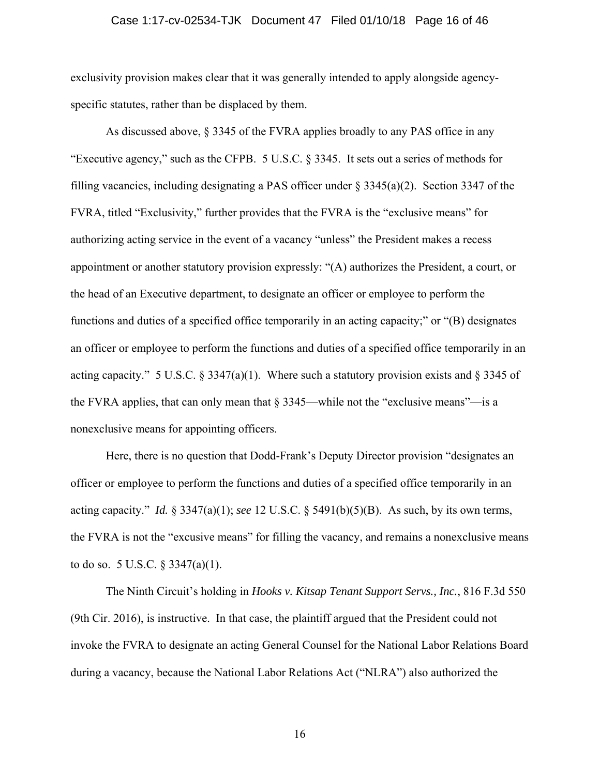#### Case 1:17-cv-02534-TJK Document 47 Filed 01/10/18 Page 16 of 46

exclusivity provision makes clear that it was generally intended to apply alongside agencyspecific statutes, rather than be displaced by them.

As discussed above, § 3345 of the FVRA applies broadly to any PAS office in any "Executive agency," such as the CFPB. 5 U.S.C. § 3345. It sets out a series of methods for filling vacancies, including designating a PAS officer under  $\S 3345(a)(2)$ . Section 3347 of the FVRA, titled "Exclusivity," further provides that the FVRA is the "exclusive means" for authorizing acting service in the event of a vacancy "unless" the President makes a recess appointment or another statutory provision expressly: "(A) authorizes the President, a court, or the head of an Executive department, to designate an officer or employee to perform the functions and duties of a specified office temporarily in an acting capacity;" or "(B) designates an officer or employee to perform the functions and duties of a specified office temporarily in an acting capacity." 5 U.S.C. § 3347(a)(1). Where such a statutory provision exists and § 3345 of the FVRA applies, that can only mean that  $\S 3345$ —while not the "exclusive means"—is a nonexclusive means for appointing officers.

Here, there is no question that Dodd-Frank's Deputy Director provision "designates an officer or employee to perform the functions and duties of a specified office temporarily in an acting capacity." *Id.* § 3347(a)(1); *see* 12 U.S.C. § 5491(b)(5)(B). As such, by its own terms, the FVRA is not the "excusive means" for filling the vacancy, and remains a nonexclusive means to do so. 5 U.S.C. § 3347(a)(1).

The Ninth Circuit's holding in *Hooks v. Kitsap Tenant Support Servs., Inc.*, 816 F.3d 550 (9th Cir. 2016), is instructive. In that case, the plaintiff argued that the President could not invoke the FVRA to designate an acting General Counsel for the National Labor Relations Board during a vacancy, because the National Labor Relations Act ("NLRA") also authorized the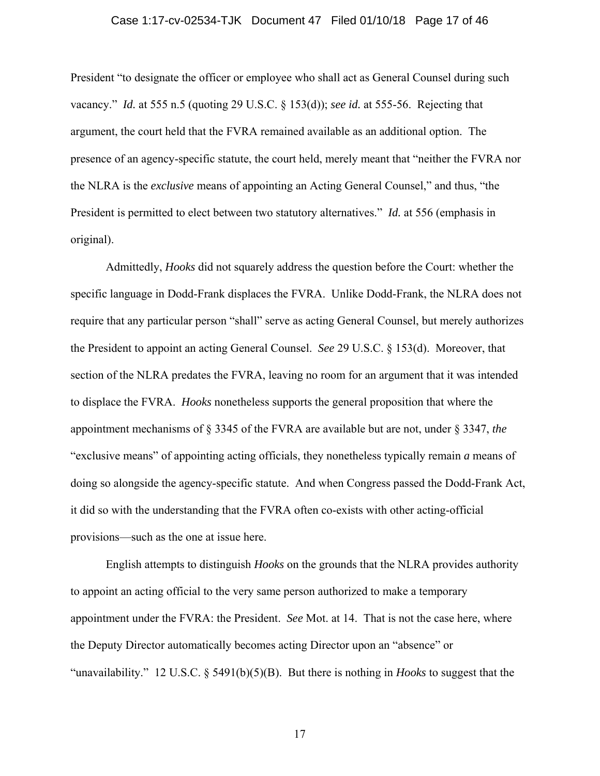#### Case 1:17-cv-02534-TJK Document 47 Filed 01/10/18 Page 17 of 46

President "to designate the officer or employee who shall act as General Counsel during such vacancy." *Id.* at 555 n.5 (quoting 29 U.S.C. § 153(d)); *see id.* at 555-56. Rejecting that argument, the court held that the FVRA remained available as an additional option. The presence of an agency-specific statute, the court held, merely meant that "neither the FVRA nor the NLRA is the *exclusive* means of appointing an Acting General Counsel," and thus, "the President is permitted to elect between two statutory alternatives." *Id.* at 556 (emphasis in original).

Admittedly, *Hooks* did not squarely address the question before the Court: whether the specific language in Dodd-Frank displaces the FVRA. Unlike Dodd-Frank, the NLRA does not require that any particular person "shall" serve as acting General Counsel, but merely authorizes the President to appoint an acting General Counsel. *See* 29 U.S.C. § 153(d). Moreover, that section of the NLRA predates the FVRA, leaving no room for an argument that it was intended to displace the FVRA. *Hooks* nonetheless supports the general proposition that where the appointment mechanisms of § 3345 of the FVRA are available but are not, under § 3347, *the* "exclusive means" of appointing acting officials, they nonetheless typically remain *a* means of doing so alongside the agency-specific statute. And when Congress passed the Dodd-Frank Act, it did so with the understanding that the FVRA often co-exists with other acting-official provisions—such as the one at issue here.

English attempts to distinguish *Hooks* on the grounds that the NLRA provides authority to appoint an acting official to the very same person authorized to make a temporary appointment under the FVRA: the President. *See* Mot. at 14. That is not the case here, where the Deputy Director automatically becomes acting Director upon an "absence" or "unavailability." 12 U.S.C. § 5491(b)(5)(B). But there is nothing in *Hooks* to suggest that the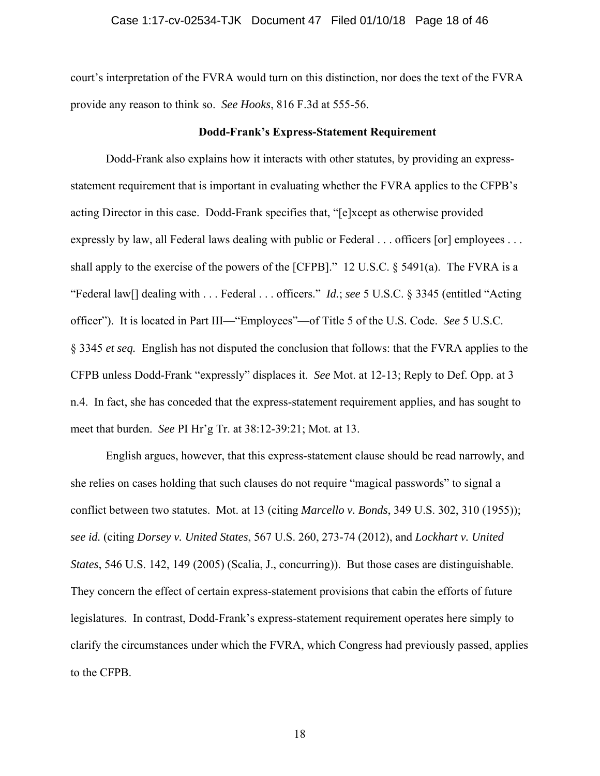#### Case 1:17-cv-02534-TJK Document 47 Filed 01/10/18 Page 18 of 46

court's interpretation of the FVRA would turn on this distinction, nor does the text of the FVRA provide any reason to think so. *See Hooks*, 816 F.3d at 555-56.

#### **Dodd-Frank's Express-Statement Requirement**

Dodd-Frank also explains how it interacts with other statutes, by providing an expressstatement requirement that is important in evaluating whether the FVRA applies to the CFPB's acting Director in this case. Dodd-Frank specifies that, "[e]xcept as otherwise provided expressly by law, all Federal laws dealing with public or Federal . . . officers [or] employees . . . shall apply to the exercise of the powers of the [CFPB]." 12 U.S.C. § 5491(a). The FVRA is a "Federal law[] dealing with . . . Federal . . . officers." *Id.*; *see* 5 U.S.C. § 3345 (entitled "Acting officer"). It is located in Part III—"Employees"—of Title 5 of the U.S. Code. *See* 5 U.S.C. § 3345 *et seq.* English has not disputed the conclusion that follows: that the FVRA applies to the CFPB unless Dodd-Frank "expressly" displaces it. *See* Mot. at 12-13; Reply to Def. Opp. at 3 n.4. In fact, she has conceded that the express-statement requirement applies, and has sought to meet that burden. *See* PI Hr'g Tr. at 38:12-39:21; Mot. at 13.

English argues, however, that this express-statement clause should be read narrowly, and she relies on cases holding that such clauses do not require "magical passwords" to signal a conflict between two statutes. Mot. at 13 (citing *Marcello v. Bonds*, 349 U.S. 302, 310 (1955)); *see id.* (citing *Dorsey v. United States*, 567 U.S. 260, 273-74 (2012), and *Lockhart v. United States*, 546 U.S. 142, 149 (2005) (Scalia, J., concurring)). But those cases are distinguishable. They concern the effect of certain express-statement provisions that cabin the efforts of future legislatures. In contrast, Dodd-Frank's express-statement requirement operates here simply to clarify the circumstances under which the FVRA, which Congress had previously passed, applies to the CFPB.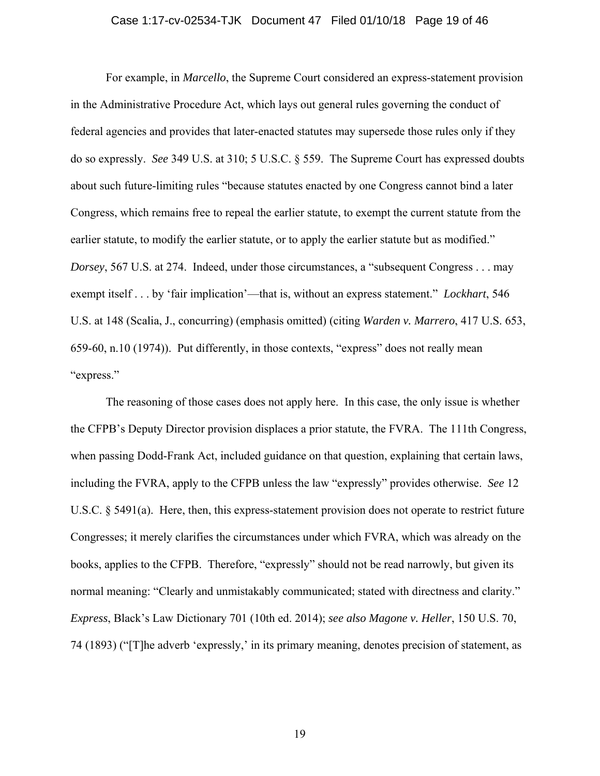#### Case 1:17-cv-02534-TJK Document 47 Filed 01/10/18 Page 19 of 46

For example, in *Marcello*, the Supreme Court considered an express-statement provision in the Administrative Procedure Act, which lays out general rules governing the conduct of federal agencies and provides that later-enacted statutes may supersede those rules only if they do so expressly. *See* 349 U.S. at 310; 5 U.S.C. § 559. The Supreme Court has expressed doubts about such future-limiting rules "because statutes enacted by one Congress cannot bind a later Congress, which remains free to repeal the earlier statute, to exempt the current statute from the earlier statute, to modify the earlier statute, or to apply the earlier statute but as modified." *Dorsey*, 567 U.S. at 274. Indeed, under those circumstances, a "subsequent Congress . . . may exempt itself . . . by 'fair implication'—that is, without an express statement." *Lockhart*, 546 U.S. at 148 (Scalia, J., concurring) (emphasis omitted) (citing *Warden v. Marrero*, 417 U.S. 653, 659-60, n.10 (1974)). Put differently, in those contexts, "express" does not really mean "express."

The reasoning of those cases does not apply here. In this case, the only issue is whether the CFPB's Deputy Director provision displaces a prior statute, the FVRA. The 111th Congress, when passing Dodd-Frank Act, included guidance on that question, explaining that certain laws, including the FVRA, apply to the CFPB unless the law "expressly" provides otherwise. *See* 12 U.S.C. § 5491(a). Here, then, this express-statement provision does not operate to restrict future Congresses; it merely clarifies the circumstances under which FVRA, which was already on the books, applies to the CFPB. Therefore, "expressly" should not be read narrowly, but given its normal meaning: "Clearly and unmistakably communicated; stated with directness and clarity." *Express*, Black's Law Dictionary 701 (10th ed. 2014); *see also Magone v. Heller*, 150 U.S. 70, 74 (1893) ("[T]he adverb 'expressly,' in its primary meaning, denotes precision of statement, as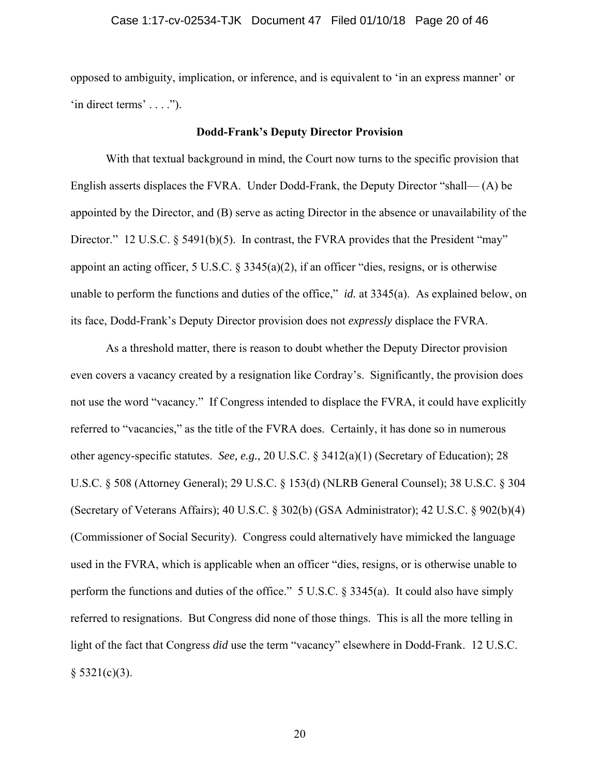opposed to ambiguity, implication, or inference, and is equivalent to 'in an express manner' or  $'$ in direct terms'  $\dots$ .").

## **Dodd-Frank's Deputy Director Provision**

With that textual background in mind, the Court now turns to the specific provision that English asserts displaces the FVRA. Under Dodd-Frank, the Deputy Director "shall— (A) be appointed by the Director, and (B) serve as acting Director in the absence or unavailability of the Director." 12 U.S.C. § 5491(b)(5). In contrast, the FVRA provides that the President "may" appoint an acting officer, 5 U.S.C. § 3345(a)(2), if an officer "dies, resigns, or is otherwise unable to perform the functions and duties of the office," *id.* at 3345(a). As explained below, on its face, Dodd-Frank's Deputy Director provision does not *expressly* displace the FVRA.

As a threshold matter, there is reason to doubt whether the Deputy Director provision even covers a vacancy created by a resignation like Cordray's. Significantly, the provision does not use the word "vacancy." If Congress intended to displace the FVRA, it could have explicitly referred to "vacancies," as the title of the FVRA does. Certainly, it has done so in numerous other agency-specific statutes. *See, e.g.*, 20 U.S.C. § 3412(a)(1) (Secretary of Education); 28 U.S.C. § 508 (Attorney General); 29 U.S.C. § 153(d) (NLRB General Counsel); 38 U.S.C. § 304 (Secretary of Veterans Affairs); 40 U.S.C. § 302(b) (GSA Administrator); 42 U.S.C. § 902(b)(4) (Commissioner of Social Security). Congress could alternatively have mimicked the language used in the FVRA, which is applicable when an officer "dies, resigns, or is otherwise unable to perform the functions and duties of the office." 5 U.S.C. § 3345(a). It could also have simply referred to resignations. But Congress did none of those things. This is all the more telling in light of the fact that Congress *did* use the term "vacancy" elsewhere in Dodd-Frank. 12 U.S.C.  $§ 5321(c)(3).$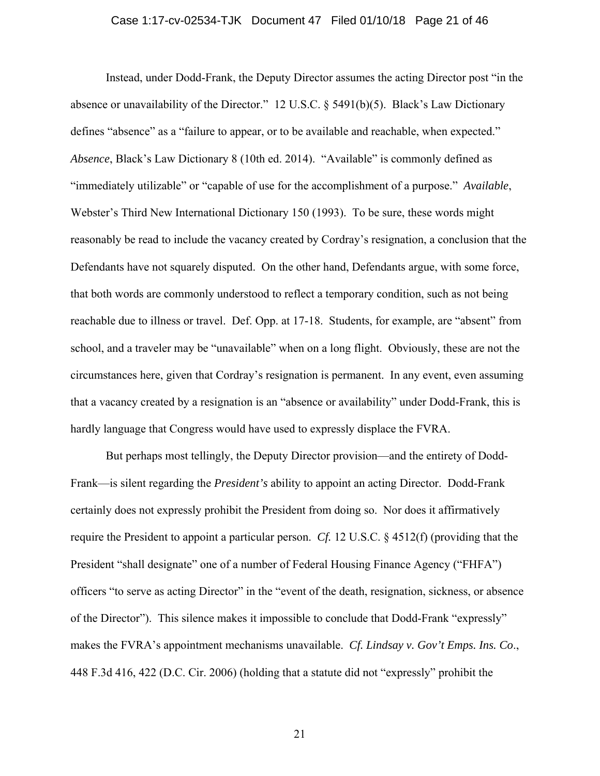#### Case 1:17-cv-02534-TJK Document 47 Filed 01/10/18 Page 21 of 46

Instead, under Dodd-Frank, the Deputy Director assumes the acting Director post "in the absence or unavailability of the Director." 12 U.S.C. § 5491(b)(5). Black's Law Dictionary defines "absence" as a "failure to appear, or to be available and reachable, when expected." *Absence*, Black's Law Dictionary 8 (10th ed. 2014). "Available" is commonly defined as "immediately utilizable" or "capable of use for the accomplishment of a purpose." *Available*, Webster's Third New International Dictionary 150 (1993). To be sure, these words might reasonably be read to include the vacancy created by Cordray's resignation, a conclusion that the Defendants have not squarely disputed. On the other hand, Defendants argue, with some force, that both words are commonly understood to reflect a temporary condition, such as not being reachable due to illness or travel. Def. Opp. at 17-18. Students, for example, are "absent" from school, and a traveler may be "unavailable" when on a long flight. Obviously, these are not the circumstances here, given that Cordray's resignation is permanent. In any event, even assuming that a vacancy created by a resignation is an "absence or availability" under Dodd-Frank, this is hardly language that Congress would have used to expressly displace the FVRA.

But perhaps most tellingly, the Deputy Director provision—and the entirety of Dodd-Frank—is silent regarding the *President's* ability to appoint an acting Director. Dodd-Frank certainly does not expressly prohibit the President from doing so. Nor does it affirmatively require the President to appoint a particular person. *Cf.* 12 U.S.C. § 4512(f) (providing that the President "shall designate" one of a number of Federal Housing Finance Agency ("FHFA") officers "to serve as acting Director" in the "event of the death, resignation, sickness, or absence of the Director"). This silence makes it impossible to conclude that Dodd-Frank "expressly" makes the FVRA's appointment mechanisms unavailable. *Cf. Lindsay v. Gov't Emps. Ins. Co*., 448 F.3d 416, 422 (D.C. Cir. 2006) (holding that a statute did not "expressly" prohibit the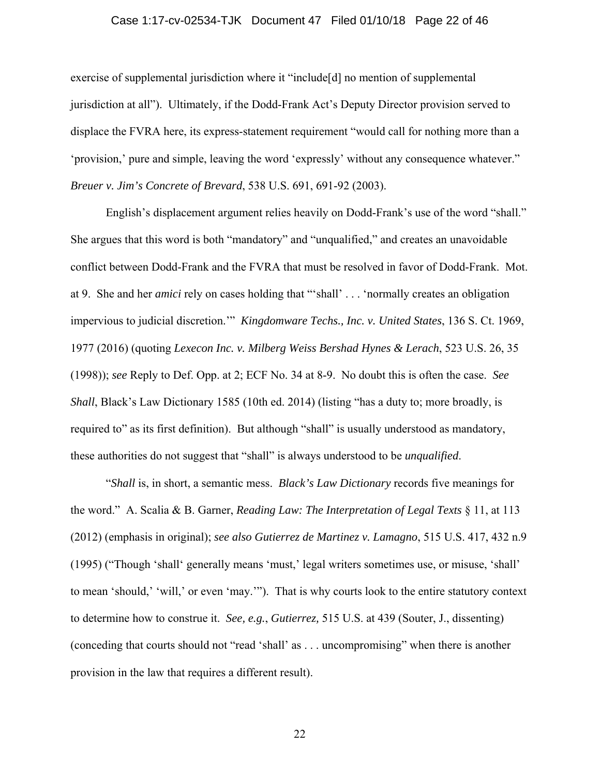#### Case 1:17-cv-02534-TJK Document 47 Filed 01/10/18 Page 22 of 46

exercise of supplemental jurisdiction where it "include[d] no mention of supplemental jurisdiction at all"). Ultimately, if the Dodd-Frank Act's Deputy Director provision served to displace the FVRA here, its express-statement requirement "would call for nothing more than a 'provision,' pure and simple, leaving the word 'expressly' without any consequence whatever." *Breuer v. Jim's Concrete of Brevard*, 538 U.S. 691, 691-92 (2003).

English's displacement argument relies heavily on Dodd-Frank's use of the word "shall." She argues that this word is both "mandatory" and "unqualified," and creates an unavoidable conflict between Dodd-Frank and the FVRA that must be resolved in favor of Dodd-Frank. Mot. at 9. She and her *amici* rely on cases holding that "'shall' . . . 'normally creates an obligation impervious to judicial discretion.'" *Kingdomware Techs., Inc. v. United States*, 136 S. Ct. 1969, 1977 (2016) (quoting *Lexecon Inc. v. Milberg Weiss Bershad Hynes & Lerach*, 523 U.S. 26, 35 (1998)); *see* Reply to Def. Opp. at 2; ECF No. 34 at 8-9. No doubt this is often the case. *See Shall*, Black's Law Dictionary 1585 (10th ed. 2014) (listing "has a duty to; more broadly, is required to" as its first definition). But although "shall" is usually understood as mandatory, these authorities do not suggest that "shall" is always understood to be *unqualified*.

"*Shall* is, in short, a semantic mess. *Black's Law Dictionary* records five meanings for the word." A. Scalia & B. Garner, *Reading Law: The Interpretation of Legal Texts* § 11, at 113 (2012) (emphasis in original); *see also Gutierrez de Martinez v. Lamagno*, 515 U.S. 417, 432 n.9 (1995) ("Though 'shall' generally means 'must,' legal writers sometimes use, or misuse, 'shall' to mean 'should,' 'will,' or even 'may.'"). That is why courts look to the entire statutory context to determine how to construe it. *See, e.g.*, *Gutierrez,* 515 U.S. at 439 (Souter, J., dissenting) (conceding that courts should not "read 'shall' as . . . uncompromising" when there is another provision in the law that requires a different result).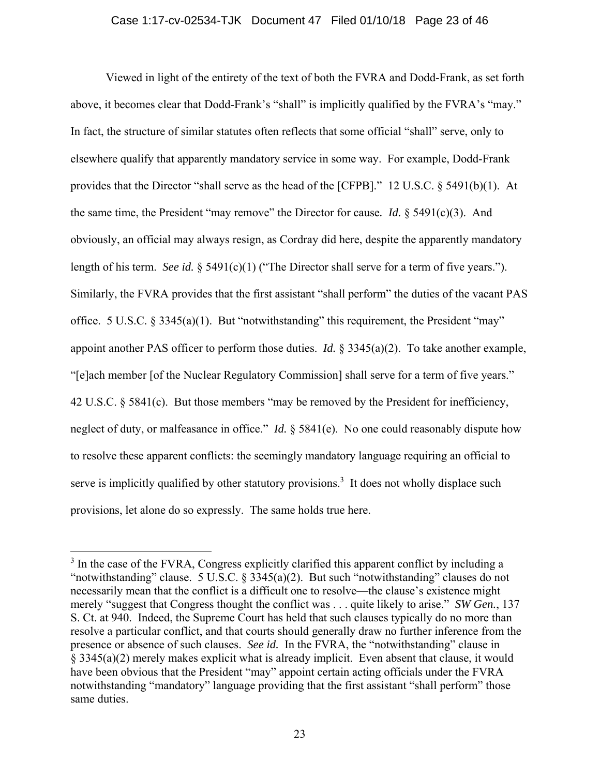#### Case 1:17-cv-02534-TJK Document 47 Filed 01/10/18 Page 23 of 46

Viewed in light of the entirety of the text of both the FVRA and Dodd-Frank, as set forth above, it becomes clear that Dodd-Frank's "shall" is implicitly qualified by the FVRA's "may." In fact, the structure of similar statutes often reflects that some official "shall" serve, only to elsewhere qualify that apparently mandatory service in some way. For example, Dodd-Frank provides that the Director "shall serve as the head of the [CFPB]." 12 U.S.C. § 5491(b)(1). At the same time, the President "may remove" the Director for cause*. Id.* § 5491(c)(3). And obviously, an official may always resign, as Cordray did here, despite the apparently mandatory length of his term. *See id.* § 5491(c)(1) ("The Director shall serve for a term of five years."). Similarly, the FVRA provides that the first assistant "shall perform" the duties of the vacant PAS office. 5 U.S.C. § 3345(a)(1). But "notwithstanding" this requirement, the President "may" appoint another PAS officer to perform those duties. *Id.* § 3345(a)(2). To take another example, "[e]ach member [of the Nuclear Regulatory Commission] shall serve for a term of five years." 42 U.S.C. § 5841(c). But those members "may be removed by the President for inefficiency, neglect of duty, or malfeasance in office." *Id.* § 5841(e). No one could reasonably dispute how to resolve these apparent conflicts: the seemingly mandatory language requiring an official to serve is implicitly qualified by other statutory provisions.<sup>3</sup> It does not wholly displace such provisions, let alone do so expressly. The same holds true here.

 $\overline{a}$ 

<sup>&</sup>lt;sup>3</sup> In the case of the FVRA, Congress explicitly clarified this apparent conflict by including a "notwithstanding" clause. 5 U.S.C. § 3345(a)(2). But such "notwithstanding" clauses do not necessarily mean that the conflict is a difficult one to resolve—the clause's existence might merely "suggest that Congress thought the conflict was . . . quite likely to arise." *SW Gen.*, 137 S. Ct. at 940. Indeed, the Supreme Court has held that such clauses typically do no more than resolve a particular conflict, and that courts should generally draw no further inference from the presence or absence of such clauses. *See id.* In the FVRA, the "notwithstanding" clause in § 3345(a)(2) merely makes explicit what is already implicit. Even absent that clause, it would have been obvious that the President "may" appoint certain acting officials under the FVRA notwithstanding "mandatory" language providing that the first assistant "shall perform" those same duties.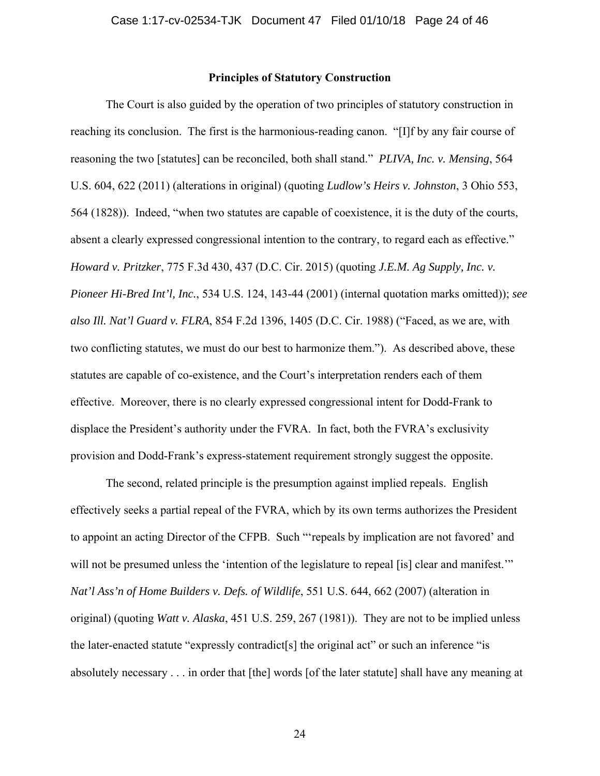## **Principles of Statutory Construction**

The Court is also guided by the operation of two principles of statutory construction in reaching its conclusion. The first is the harmonious-reading canon. "[I]f by any fair course of reasoning the two [statutes] can be reconciled, both shall stand." *PLIVA, Inc. v. Mensing*, 564 U.S. 604, 622 (2011) (alterations in original) (quoting *Ludlow's Heirs v. Johnston*, 3 Ohio 553, 564 (1828)). Indeed, "when two statutes are capable of coexistence, it is the duty of the courts, absent a clearly expressed congressional intention to the contrary, to regard each as effective." *Howard v. Pritzker*, 775 F.3d 430, 437 (D.C. Cir. 2015) (quoting *J.E.M. Ag Supply, Inc. v. Pioneer Hi-Bred Int'l, Inc.*, 534 U.S. 124, 143-44 (2001) (internal quotation marks omitted)); *see also Ill. Nat'l Guard v. FLRA*, 854 F.2d 1396, 1405 (D.C. Cir. 1988) ("Faced, as we are, with two conflicting statutes, we must do our best to harmonize them."). As described above, these statutes are capable of co-existence, and the Court's interpretation renders each of them effective. Moreover, there is no clearly expressed congressional intent for Dodd-Frank to displace the President's authority under the FVRA. In fact, both the FVRA's exclusivity provision and Dodd-Frank's express-statement requirement strongly suggest the opposite.

The second, related principle is the presumption against implied repeals. English effectively seeks a partial repeal of the FVRA, which by its own terms authorizes the President to appoint an acting Director of the CFPB. Such "'repeals by implication are not favored' and will not be presumed unless the 'intention of the legislature to repeal [is] clear and manifest."" *Nat'l Ass'n of Home Builders v. Defs. of Wildlife*, 551 U.S. 644, 662 (2007) (alteration in original) (quoting *Watt v. Alaska*, 451 U.S. 259, 267 (1981)). They are not to be implied unless the later-enacted statute "expressly contradict[s] the original act" or such an inference "is absolutely necessary . . . in order that [the] words [of the later statute] shall have any meaning at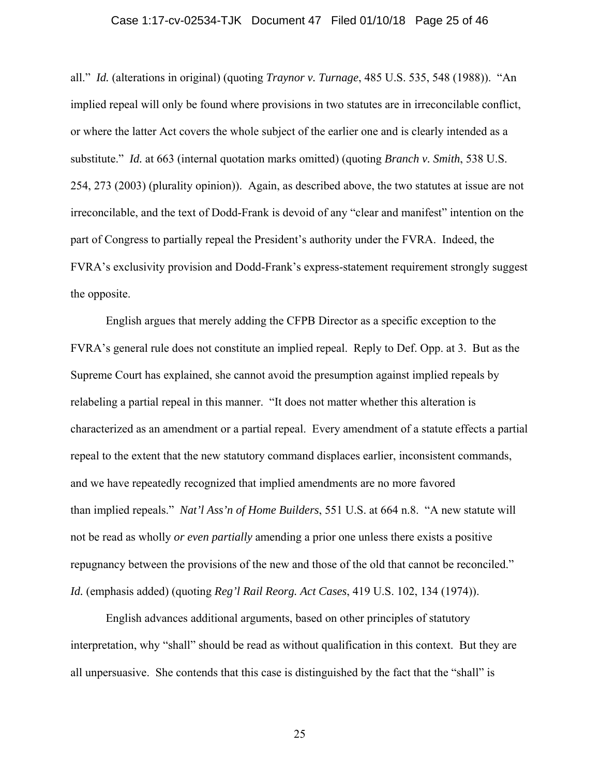#### Case 1:17-cv-02534-TJK Document 47 Filed 01/10/18 Page 25 of 46

all." *Id.* (alterations in original) (quoting *Traynor v. Turnage*, 485 U.S. 535, 548 (1988)). "An implied repeal will only be found where provisions in two statutes are in irreconcilable conflict, or where the latter Act covers the whole subject of the earlier one and is clearly intended as a substitute." *Id.* at 663 (internal quotation marks omitted) (quoting *Branch v. Smith*, 538 U.S. 254, 273 (2003) (plurality opinion)). Again, as described above, the two statutes at issue are not irreconcilable, and the text of Dodd-Frank is devoid of any "clear and manifest" intention on the part of Congress to partially repeal the President's authority under the FVRA. Indeed, the FVRA's exclusivity provision and Dodd-Frank's express-statement requirement strongly suggest the opposite.

English argues that merely adding the CFPB Director as a specific exception to the FVRA's general rule does not constitute an implied repeal. Reply to Def. Opp. at 3. But as the Supreme Court has explained, she cannot avoid the presumption against implied repeals by relabeling a partial repeal in this manner. "It does not matter whether this alteration is characterized as an amendment or a partial repeal. Every amendment of a statute effects a partial repeal to the extent that the new statutory command displaces earlier, inconsistent commands, and we have repeatedly recognized that implied amendments are no more favored than implied repeals." *Nat'l Ass'n of Home Builders*, 551 U.S. at 664 n.8. "A new statute will not be read as wholly *or even partially* amending a prior one unless there exists a positive repugnancy between the provisions of the new and those of the old that cannot be reconciled." *Id.* (emphasis added) (quoting *Reg'l Rail Reorg. Act Cases*, 419 U.S. 102, 134 (1974)).

English advances additional arguments, based on other principles of statutory interpretation, why "shall" should be read as without qualification in this context. But they are all unpersuasive. She contends that this case is distinguished by the fact that the "shall" is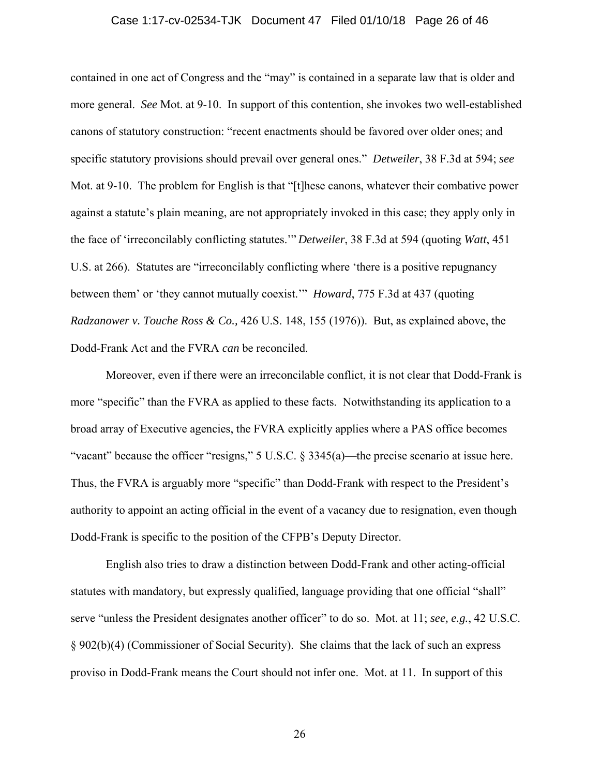#### Case 1:17-cv-02534-TJK Document 47 Filed 01/10/18 Page 26 of 46

contained in one act of Congress and the "may" is contained in a separate law that is older and more general. *See* Mot. at 9-10. In support of this contention, she invokes two well-established canons of statutory construction: "recent enactments should be favored over older ones; and specific statutory provisions should prevail over general ones." *Detweiler*, 38 F.3d at 594; *see*  Mot. at 9-10. The problem for English is that "[t]hese canons, whatever their combative power against a statute's plain meaning, are not appropriately invoked in this case; they apply only in the face of 'irreconcilably conflicting statutes.'" *Detweiler*, 38 F.3d at 594 (quoting *Watt*, 451 U.S. at 266). Statutes are "irreconcilably conflicting where 'there is a positive repugnancy between them' or 'they cannot mutually coexist.'" *Howard*, 775 F.3d at 437 (quoting *Radzanower v. Touche Ross & Co.,* 426 U.S. 148, 155 (1976)). But, as explained above, the Dodd-Frank Act and the FVRA *can* be reconciled.

Moreover, even if there were an irreconcilable conflict, it is not clear that Dodd-Frank is more "specific" than the FVRA as applied to these facts. Notwithstanding its application to a broad array of Executive agencies, the FVRA explicitly applies where a PAS office becomes "vacant" because the officer "resigns," 5 U.S.C. § 3345(a)—the precise scenario at issue here. Thus, the FVRA is arguably more "specific" than Dodd-Frank with respect to the President's authority to appoint an acting official in the event of a vacancy due to resignation, even though Dodd-Frank is specific to the position of the CFPB's Deputy Director.

English also tries to draw a distinction between Dodd-Frank and other acting-official statutes with mandatory, but expressly qualified, language providing that one official "shall" serve "unless the President designates another officer" to do so. Mot. at 11; *see, e.g.*, 42 U.S.C. § 902(b)(4) (Commissioner of Social Security). She claims that the lack of such an express proviso in Dodd-Frank means the Court should not infer one. Mot. at 11. In support of this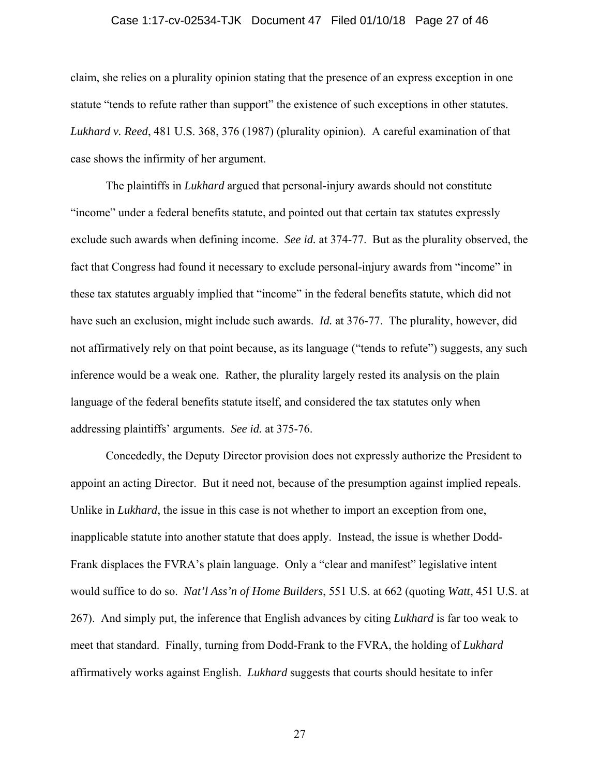#### Case 1:17-cv-02534-TJK Document 47 Filed 01/10/18 Page 27 of 46

claim, she relies on a plurality opinion stating that the presence of an express exception in one statute "tends to refute rather than support" the existence of such exceptions in other statutes. *Lukhard v. Reed*, 481 U.S. 368, 376 (1987) (plurality opinion). A careful examination of that case shows the infirmity of her argument.

The plaintiffs in *Lukhard* argued that personal-injury awards should not constitute "income" under a federal benefits statute, and pointed out that certain tax statutes expressly exclude such awards when defining income. *See id.* at 374-77. But as the plurality observed, the fact that Congress had found it necessary to exclude personal-injury awards from "income" in these tax statutes arguably implied that "income" in the federal benefits statute, which did not have such an exclusion, might include such awards. *Id.* at 376-77. The plurality, however, did not affirmatively rely on that point because, as its language ("tends to refute") suggests, any such inference would be a weak one. Rather, the plurality largely rested its analysis on the plain language of the federal benefits statute itself, and considered the tax statutes only when addressing plaintiffs' arguments. *See id.* at 375-76.

Concededly, the Deputy Director provision does not expressly authorize the President to appoint an acting Director. But it need not, because of the presumption against implied repeals. Unlike in *Lukhard*, the issue in this case is not whether to import an exception from one, inapplicable statute into another statute that does apply. Instead, the issue is whether Dodd-Frank displaces the FVRA's plain language. Only a "clear and manifest" legislative intent would suffice to do so. *Nat'l Ass'n of Home Builders*, 551 U.S. at 662 (quoting *Watt*, 451 U.S. at 267). And simply put, the inference that English advances by citing *Lukhard* is far too weak to meet that standard. Finally, turning from Dodd-Frank to the FVRA, the holding of *Lukhard* affirmatively works against English. *Lukhard* suggests that courts should hesitate to infer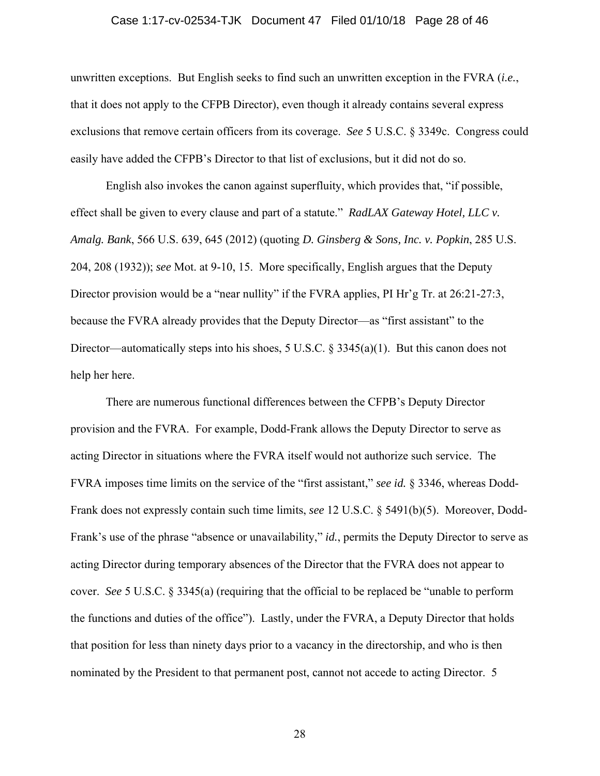#### Case 1:17-cv-02534-TJK Document 47 Filed 01/10/18 Page 28 of 46

unwritten exceptions. But English seeks to find such an unwritten exception in the FVRA (*i.e.*, that it does not apply to the CFPB Director), even though it already contains several express exclusions that remove certain officers from its coverage. *See* 5 U.S.C. § 3349c. Congress could easily have added the CFPB's Director to that list of exclusions, but it did not do so.

English also invokes the canon against superfluity, which provides that, "if possible, effect shall be given to every clause and part of a statute." *RadLAX Gateway Hotel, LLC v. Amalg. Bank*, 566 U.S. 639, 645 (2012) (quoting *D. Ginsberg & Sons, Inc. v. Popkin*, 285 U.S. 204, 208 (1932)); *see* Mot. at 9-10, 15. More specifically, English argues that the Deputy Director provision would be a "near nullity" if the FVRA applies, PI Hr'g Tr. at 26:21-27:3, because the FVRA already provides that the Deputy Director—as "first assistant" to the Director—automatically steps into his shoes, 5 U.S.C. § 3345(a)(1). But this canon does not help her here.

There are numerous functional differences between the CFPB's Deputy Director provision and the FVRA. For example, Dodd-Frank allows the Deputy Director to serve as acting Director in situations where the FVRA itself would not authorize such service. The FVRA imposes time limits on the service of the "first assistant," *see id.* § 3346, whereas Dodd-Frank does not expressly contain such time limits, *see* 12 U.S.C. § 5491(b)(5). Moreover, Dodd-Frank's use of the phrase "absence or unavailability," *id.*, permits the Deputy Director to serve as acting Director during temporary absences of the Director that the FVRA does not appear to cover. *See* 5 U.S.C. § 3345(a) (requiring that the official to be replaced be "unable to perform the functions and duties of the office"). Lastly, under the FVRA, a Deputy Director that holds that position for less than ninety days prior to a vacancy in the directorship, and who is then nominated by the President to that permanent post, cannot not accede to acting Director. 5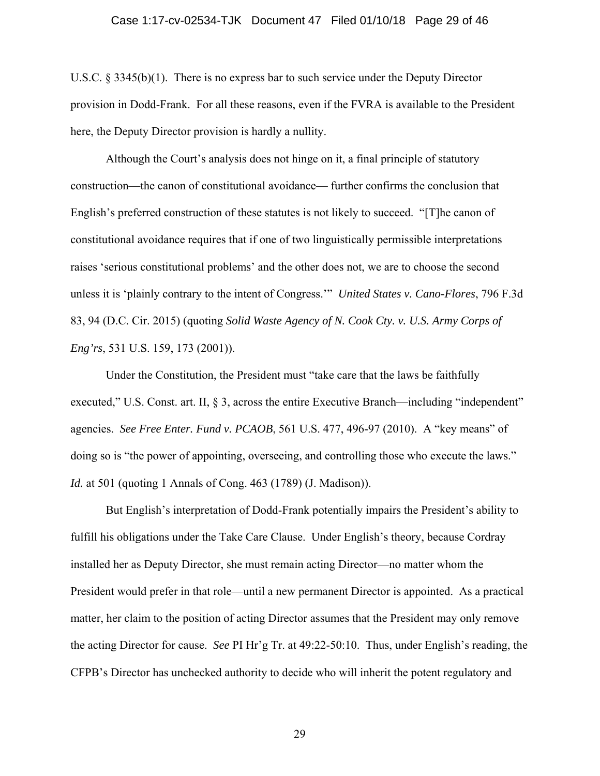#### Case 1:17-cv-02534-TJK Document 47 Filed 01/10/18 Page 29 of 46

U.S.C. § 3345(b)(1). There is no express bar to such service under the Deputy Director provision in Dodd-Frank. For all these reasons, even if the FVRA is available to the President here, the Deputy Director provision is hardly a nullity.

Although the Court's analysis does not hinge on it, a final principle of statutory construction—the canon of constitutional avoidance— further confirms the conclusion that English's preferred construction of these statutes is not likely to succeed. "[T]he canon of constitutional avoidance requires that if one of two linguistically permissible interpretations raises 'serious constitutional problems' and the other does not, we are to choose the second unless it is 'plainly contrary to the intent of Congress.'" *United States v. Cano-Flores*, 796 F.3d 83, 94 (D.C. Cir. 2015) (quoting *Solid Waste Agency of N. Cook Cty. v. U.S. Army Corps of Eng'rs*, 531 U.S. 159, 173 (2001)).

Under the Constitution, the President must "take care that the laws be faithfully executed," U.S. Const. art. II, § 3, across the entire Executive Branch—including "independent" agencies. *See Free Enter. Fund v. PCAOB*, 561 U.S. 477, 496-97 (2010). A "key means" of doing so is "the power of appointing, overseeing, and controlling those who execute the laws." *Id.* at 501 (quoting 1 Annals of Cong. 463 (1789) (J. Madison)).

But English's interpretation of Dodd-Frank potentially impairs the President's ability to fulfill his obligations under the Take Care Clause. Under English's theory, because Cordray installed her as Deputy Director, she must remain acting Director—no matter whom the President would prefer in that role—until a new permanent Director is appointed. As a practical matter, her claim to the position of acting Director assumes that the President may only remove the acting Director for cause. *See* PI Hr'g Tr. at 49:22-50:10. Thus, under English's reading, the CFPB's Director has unchecked authority to decide who will inherit the potent regulatory and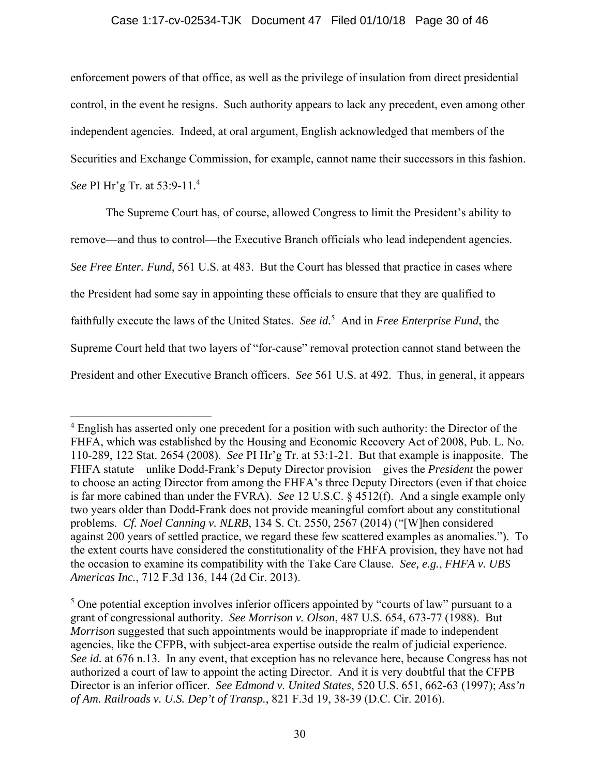## Case 1:17-cv-02534-TJK Document 47 Filed 01/10/18 Page 30 of 46

enforcement powers of that office, as well as the privilege of insulation from direct presidential control, in the event he resigns. Such authority appears to lack any precedent, even among other independent agencies. Indeed, at oral argument, English acknowledged that members of the Securities and Exchange Commission, for example, cannot name their successors in this fashion. *See* PI Hr'g Tr. at 53:9-11.<sup>4</sup>

The Supreme Court has, of course, allowed Congress to limit the President's ability to remove—and thus to control—the Executive Branch officials who lead independent agencies. *See Free Enter. Fund*, 561 U.S. at 483. But the Court has blessed that practice in cases where the President had some say in appointing these officials to ensure that they are qualified to faithfully execute the laws of the United States. *See id.*<sup>5</sup> And in *Free Enterprise Fund*, the Supreme Court held that two layers of "for-cause" removal protection cannot stand between the President and other Executive Branch officers. *See* 561 U.S. at 492. Thus, in general, it appears

 $\overline{a}$ 

<sup>&</sup>lt;sup>4</sup> English has asserted only one precedent for a position with such authority: the Director of the FHFA, which was established by the Housing and Economic Recovery Act of 2008, Pub. L. No. 110-289, 122 Stat. 2654 (2008). *See* PI Hr'g Tr. at 53:1-21. But that example is inapposite. The FHFA statute—unlike Dodd-Frank's Deputy Director provision—gives the *President* the power to choose an acting Director from among the FHFA's three Deputy Directors (even if that choice is far more cabined than under the FVRA). *See* 12 U.S.C. § 4512(f). And a single example only two years older than Dodd-Frank does not provide meaningful comfort about any constitutional problems. *Cf. Noel Canning v. NLRB*, 134 S. Ct. 2550, 2567 (2014) ("[W]hen considered against 200 years of settled practice, we regard these few scattered examples as anomalies."). To the extent courts have considered the constitutionality of the FHFA provision, they have not had the occasion to examine its compatibility with the Take Care Clause. *See, e.g.*, *FHFA v. UBS Americas Inc.*, 712 F.3d 136, 144 (2d Cir. 2013).

<sup>&</sup>lt;sup>5</sup> One potential exception involves inferior officers appointed by "courts of law" pursuant to a grant of congressional authority. *See Morrison v. Olson*, 487 U.S. 654, 673-77 (1988). But *Morrison* suggested that such appointments would be inappropriate if made to independent agencies, like the CFPB, with subject-area expertise outside the realm of judicial experience. *See id.* at 676 n.13. In any event, that exception has no relevance here, because Congress has not authorized a court of law to appoint the acting Director. And it is very doubtful that the CFPB Director is an inferior officer. *See Edmond v. United States*, 520 U.S. 651, 662-63 (1997); *Ass'n of Am. Railroads v. U.S. Dep't of Transp.*, 821 F.3d 19, 38-39 (D.C. Cir. 2016).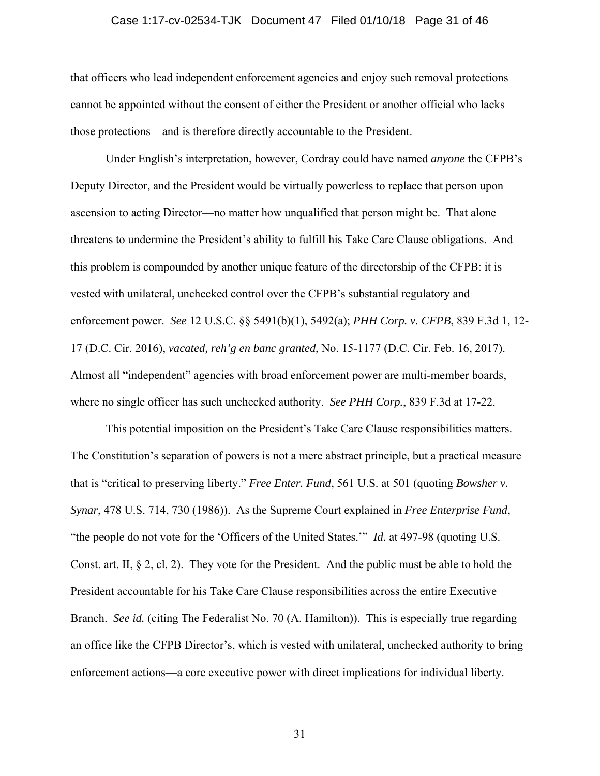#### Case 1:17-cv-02534-TJK Document 47 Filed 01/10/18 Page 31 of 46

that officers who lead independent enforcement agencies and enjoy such removal protections cannot be appointed without the consent of either the President or another official who lacks those protections—and is therefore directly accountable to the President.

Under English's interpretation, however, Cordray could have named *anyone* the CFPB's Deputy Director, and the President would be virtually powerless to replace that person upon ascension to acting Director—no matter how unqualified that person might be. That alone threatens to undermine the President's ability to fulfill his Take Care Clause obligations. And this problem is compounded by another unique feature of the directorship of the CFPB: it is vested with unilateral, unchecked control over the CFPB's substantial regulatory and enforcement power. *See* 12 U.S.C. §§ 5491(b)(1), 5492(a); *PHH Corp. v. CFPB*, 839 F.3d 1, 12- 17 (D.C. Cir. 2016), *vacated, reh'g en banc granted*, No. 15-1177 (D.C. Cir. Feb. 16, 2017). Almost all "independent" agencies with broad enforcement power are multi-member boards, where no single officer has such unchecked authority. *See PHH Corp.*, 839 F.3d at 17-22.

This potential imposition on the President's Take Care Clause responsibilities matters. The Constitution's separation of powers is not a mere abstract principle, but a practical measure that is "critical to preserving liberty." *Free Enter. Fund*, 561 U.S. at 501 (quoting *Bowsher v. Synar*, 478 U.S. 714, 730 (1986)). As the Supreme Court explained in *Free Enterprise Fund*, "the people do not vote for the 'Officers of the United States.'" *Id.* at 497-98 (quoting U.S. Const. art. II, § 2, cl. 2). They vote for the President. And the public must be able to hold the President accountable for his Take Care Clause responsibilities across the entire Executive Branch. *See id.* (citing The Federalist No. 70 (A. Hamilton)). This is especially true regarding an office like the CFPB Director's, which is vested with unilateral, unchecked authority to bring enforcement actions—a core executive power with direct implications for individual liberty.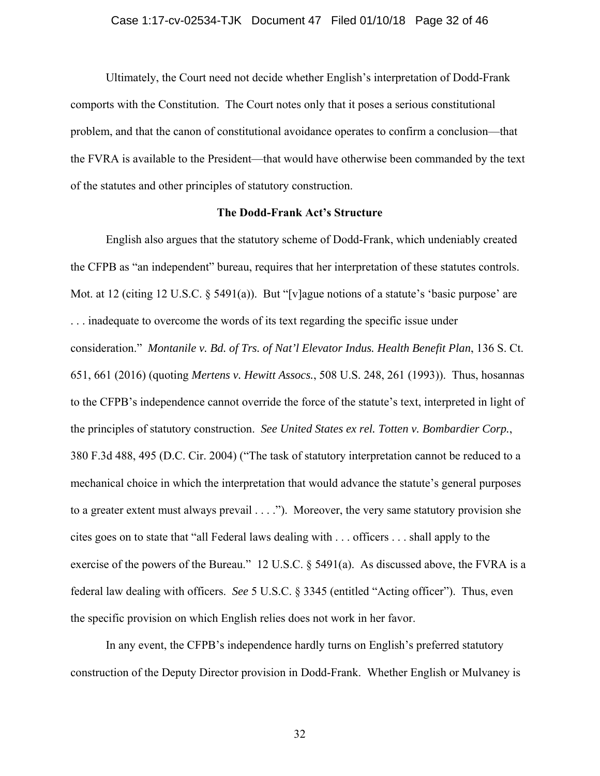#### Case 1:17-cv-02534-TJK Document 47 Filed 01/10/18 Page 32 of 46

Ultimately, the Court need not decide whether English's interpretation of Dodd-Frank comports with the Constitution. The Court notes only that it poses a serious constitutional problem, and that the canon of constitutional avoidance operates to confirm a conclusion—that the FVRA is available to the President—that would have otherwise been commanded by the text of the statutes and other principles of statutory construction.

## **The Dodd-Frank Act's Structure**

English also argues that the statutory scheme of Dodd-Frank, which undeniably created the CFPB as "an independent" bureau, requires that her interpretation of these statutes controls. Mot. at 12 (citing 12 U.S.C. § 5491(a)). But "[v]ague notions of a statute's 'basic purpose' are . . . inadequate to overcome the words of its text regarding the specific issue under consideration." *Montanile v. Bd. of Trs. of Nat'l Elevator Indus. Health Benefit Plan*, 136 S. Ct. 651, 661 (2016) (quoting *Mertens v. Hewitt Assocs.*, 508 U.S. 248, 261 (1993)). Thus, hosannas to the CFPB's independence cannot override the force of the statute's text, interpreted in light of the principles of statutory construction. *See United States ex rel. Totten v. Bombardier Corp.*, 380 F.3d 488, 495 (D.C. Cir. 2004) ("The task of statutory interpretation cannot be reduced to a mechanical choice in which the interpretation that would advance the statute's general purposes to a greater extent must always prevail . . . ."). Moreover, the very same statutory provision she cites goes on to state that "all Federal laws dealing with . . . officers . . . shall apply to the exercise of the powers of the Bureau." 12 U.S.C. § 5491(a). As discussed above, the FVRA is a federal law dealing with officers. *See* 5 U.S.C. § 3345 (entitled "Acting officer"). Thus, even the specific provision on which English relies does not work in her favor.

In any event, the CFPB's independence hardly turns on English's preferred statutory construction of the Deputy Director provision in Dodd-Frank. Whether English or Mulvaney is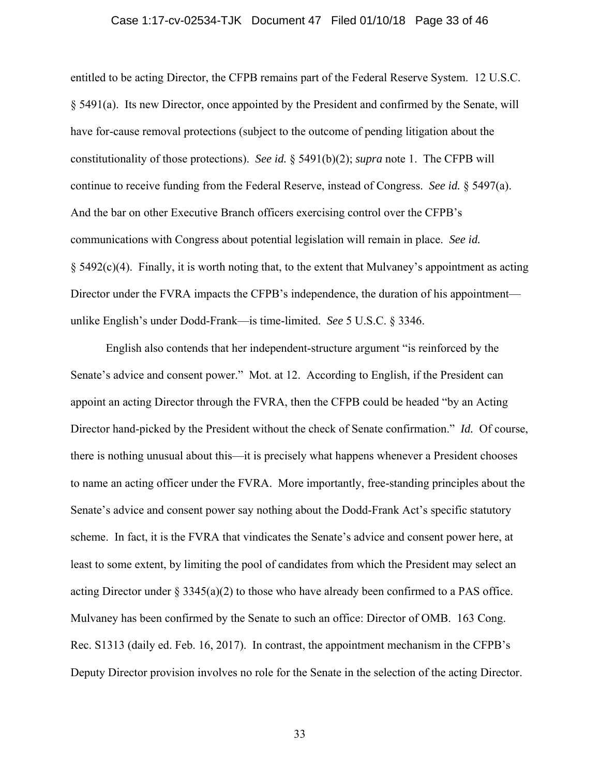#### Case 1:17-cv-02534-TJK Document 47 Filed 01/10/18 Page 33 of 46

entitled to be acting Director, the CFPB remains part of the Federal Reserve System. 12 U.S.C. § 5491(a). Its new Director, once appointed by the President and confirmed by the Senate, will have for-cause removal protections (subject to the outcome of pending litigation about the constitutionality of those protections). *See id.* § 5491(b)(2); *supra* note 1. The CFPB will continue to receive funding from the Federal Reserve, instead of Congress. *See id.* § 5497(a). And the bar on other Executive Branch officers exercising control over the CFPB's communications with Congress about potential legislation will remain in place. *See id.*  $§$  5492(c)(4). Finally, it is worth noting that, to the extent that Mulvaney's appointment as acting Director under the FVRA impacts the CFPB's independence, the duration of his appointment unlike English's under Dodd-Frank—is time-limited. *See* 5 U.S.C. § 3346.

English also contends that her independent-structure argument "is reinforced by the Senate's advice and consent power." Mot. at 12. According to English, if the President can appoint an acting Director through the FVRA, then the CFPB could be headed "by an Acting Director hand-picked by the President without the check of Senate confirmation." *Id.* Of course, there is nothing unusual about this—it is precisely what happens whenever a President chooses to name an acting officer under the FVRA. More importantly, free-standing principles about the Senate's advice and consent power say nothing about the Dodd-Frank Act's specific statutory scheme. In fact, it is the FVRA that vindicates the Senate's advice and consent power here, at least to some extent, by limiting the pool of candidates from which the President may select an acting Director under  $\S 3345(a)(2)$  to those who have already been confirmed to a PAS office. Mulvaney has been confirmed by the Senate to such an office: Director of OMB. 163 Cong. Rec. S1313 (daily ed. Feb. 16, 2017). In contrast, the appointment mechanism in the CFPB's Deputy Director provision involves no role for the Senate in the selection of the acting Director.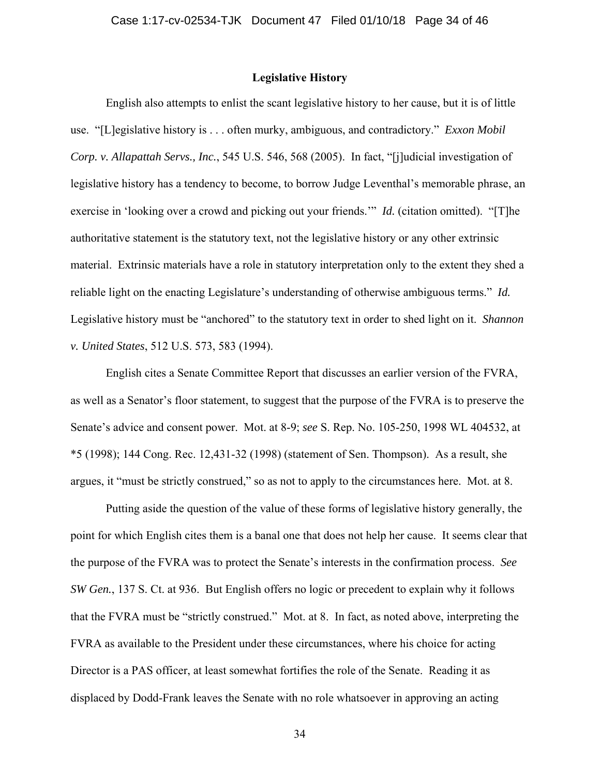## **Legislative History**

English also attempts to enlist the scant legislative history to her cause, but it is of little use. "[L]egislative history is . . . often murky, ambiguous, and contradictory." *Exxon Mobil Corp. v. Allapattah Servs., Inc.*, 545 U.S. 546, 568 (2005). In fact, "[j]udicial investigation of legislative history has a tendency to become, to borrow Judge Leventhal's memorable phrase, an exercise in 'looking over a crowd and picking out your friends.'" *Id.* (citation omitted). "[T]he authoritative statement is the statutory text, not the legislative history or any other extrinsic material. Extrinsic materials have a role in statutory interpretation only to the extent they shed a reliable light on the enacting Legislature's understanding of otherwise ambiguous terms." *Id.*  Legislative history must be "anchored" to the statutory text in order to shed light on it. *Shannon v. United States*, 512 U.S. 573, 583 (1994).

English cites a Senate Committee Report that discusses an earlier version of the FVRA, as well as a Senator's floor statement, to suggest that the purpose of the FVRA is to preserve the Senate's advice and consent power. Mot. at 8-9; *see* S. Rep. No. 105-250, 1998 WL 404532, at \*5 (1998); 144 Cong. Rec. 12,431-32 (1998) (statement of Sen. Thompson). As a result, she argues, it "must be strictly construed," so as not to apply to the circumstances here. Mot. at 8.

Putting aside the question of the value of these forms of legislative history generally, the point for which English cites them is a banal one that does not help her cause. It seems clear that the purpose of the FVRA was to protect the Senate's interests in the confirmation process. *See SW Gen.*, 137 S. Ct. at 936. But English offers no logic or precedent to explain why it follows that the FVRA must be "strictly construed." Mot. at 8. In fact, as noted above, interpreting the FVRA as available to the President under these circumstances, where his choice for acting Director is a PAS officer, at least somewhat fortifies the role of the Senate. Reading it as displaced by Dodd-Frank leaves the Senate with no role whatsoever in approving an acting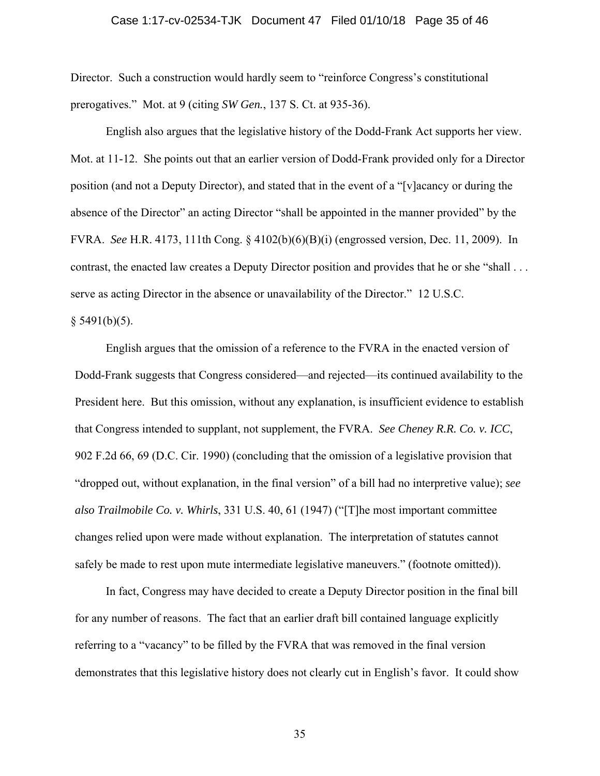# Case 1:17-cv-02534-TJK Document 47 Filed 01/10/18 Page 35 of 46

Director. Such a construction would hardly seem to "reinforce Congress's constitutional prerogatives." Mot. at 9 (citing *SW Gen.*, 137 S. Ct. at 935-36).

English also argues that the legislative history of the Dodd-Frank Act supports her view. Mot. at 11-12. She points out that an earlier version of Dodd-Frank provided only for a Director position (and not a Deputy Director), and stated that in the event of a "[v]acancy or during the absence of the Director" an acting Director "shall be appointed in the manner provided" by the FVRA. *See* H.R. 4173, 111th Cong. § 4102(b)(6)(B)(i) (engrossed version, Dec. 11, 2009). In contrast, the enacted law creates a Deputy Director position and provides that he or she "shall . . . serve as acting Director in the absence or unavailability of the Director." 12 U.S.C.

 $§$  5491(b)(5).

English argues that the omission of a reference to the FVRA in the enacted version of Dodd-Frank suggests that Congress considered—and rejected—its continued availability to the President here. But this omission, without any explanation, is insufficient evidence to establish that Congress intended to supplant, not supplement, the FVRA. *See Cheney R.R. Co. v. ICC*, 902 F.2d 66, 69 (D.C. Cir. 1990) (concluding that the omission of a legislative provision that "dropped out, without explanation, in the final version" of a bill had no interpretive value); *see also Trailmobile Co. v. Whirls*, 331 U.S. 40, 61 (1947) ("[T]he most important committee changes relied upon were made without explanation. The interpretation of statutes cannot safely be made to rest upon mute intermediate legislative maneuvers." (footnote omitted)).

In fact, Congress may have decided to create a Deputy Director position in the final bill for any number of reasons. The fact that an earlier draft bill contained language explicitly referring to a "vacancy" to be filled by the FVRA that was removed in the final version demonstrates that this legislative history does not clearly cut in English's favor. It could show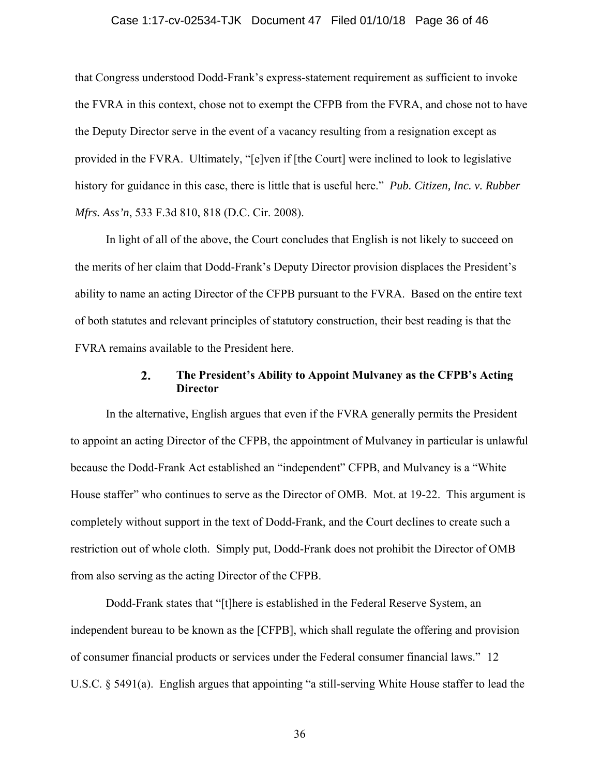#### Case 1:17-cv-02534-TJK Document 47 Filed 01/10/18 Page 36 of 46

that Congress understood Dodd-Frank's express-statement requirement as sufficient to invoke the FVRA in this context, chose not to exempt the CFPB from the FVRA, and chose not to have the Deputy Director serve in the event of a vacancy resulting from a resignation except as provided in the FVRA. Ultimately, "[e]ven if [the Court] were inclined to look to legislative history for guidance in this case, there is little that is useful here." *Pub. Citizen, Inc. v. Rubber Mfrs. Ass'n*, 533 F.3d 810, 818 (D.C. Cir. 2008).

In light of all of the above, the Court concludes that English is not likely to succeed on the merits of her claim that Dodd-Frank's Deputy Director provision displaces the President's ability to name an acting Director of the CFPB pursuant to the FVRA. Based on the entire text of both statutes and relevant principles of statutory construction, their best reading is that the FVRA remains available to the President here.

#### 2. **The President's Ability to Appoint Mulvaney as the CFPB's Acting Director**

In the alternative, English argues that even if the FVRA generally permits the President to appoint an acting Director of the CFPB, the appointment of Mulvaney in particular is unlawful because the Dodd-Frank Act established an "independent" CFPB, and Mulvaney is a "White House staffer" who continues to serve as the Director of OMB. Mot. at 19-22. This argument is completely without support in the text of Dodd-Frank, and the Court declines to create such a restriction out of whole cloth. Simply put, Dodd-Frank does not prohibit the Director of OMB from also serving as the acting Director of the CFPB.

Dodd-Frank states that "[t]here is established in the Federal Reserve System, an independent bureau to be known as the [CFPB], which shall regulate the offering and provision of consumer financial products or services under the Federal consumer financial laws." 12 U.S.C. § 5491(a). English argues that appointing "a still-serving White House staffer to lead the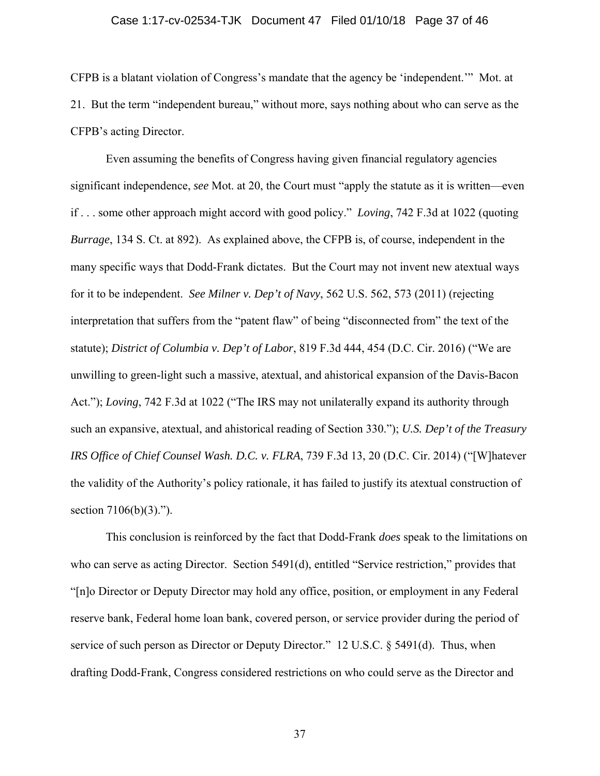#### Case 1:17-cv-02534-TJK Document 47 Filed 01/10/18 Page 37 of 46

CFPB is a blatant violation of Congress's mandate that the agency be 'independent.'" Mot. at 21. But the term "independent bureau," without more, says nothing about who can serve as the CFPB's acting Director.

Even assuming the benefits of Congress having given financial regulatory agencies significant independence, *see* Mot. at 20, the Court must "apply the statute as it is written—even if . . . some other approach might accord with good policy." *Loving*, 742 F.3d at 1022 (quoting *Burrage*, 134 S. Ct. at 892). As explained above, the CFPB is, of course, independent in the many specific ways that Dodd-Frank dictates. But the Court may not invent new atextual ways for it to be independent. *See Milner v. Dep't of Navy*, 562 U.S. 562, 573 (2011) (rejecting interpretation that suffers from the "patent flaw" of being "disconnected from" the text of the statute); *District of Columbia v. Dep't of Labor*, 819 F.3d 444, 454 (D.C. Cir. 2016) ("We are unwilling to green-light such a massive, atextual, and ahistorical expansion of the Davis-Bacon Act."); *Loving*, 742 F.3d at 1022 ("The IRS may not unilaterally expand its authority through such an expansive, atextual, and ahistorical reading of Section 330."); *U.S. Dep't of the Treasury IRS Office of Chief Counsel Wash. D.C. v. FLRA*, 739 F.3d 13, 20 (D.C. Cir. 2014) ("[W]hatever the validity of the Authority's policy rationale, it has failed to justify its atextual construction of section  $7106(b)(3)$ .").

This conclusion is reinforced by the fact that Dodd-Frank *does* speak to the limitations on who can serve as acting Director. Section 5491(d), entitled "Service restriction," provides that "[n]o Director or Deputy Director may hold any office, position, or employment in any Federal reserve bank, Federal home loan bank, covered person, or service provider during the period of service of such person as Director or Deputy Director." 12 U.S.C. § 5491(d). Thus, when drafting Dodd-Frank, Congress considered restrictions on who could serve as the Director and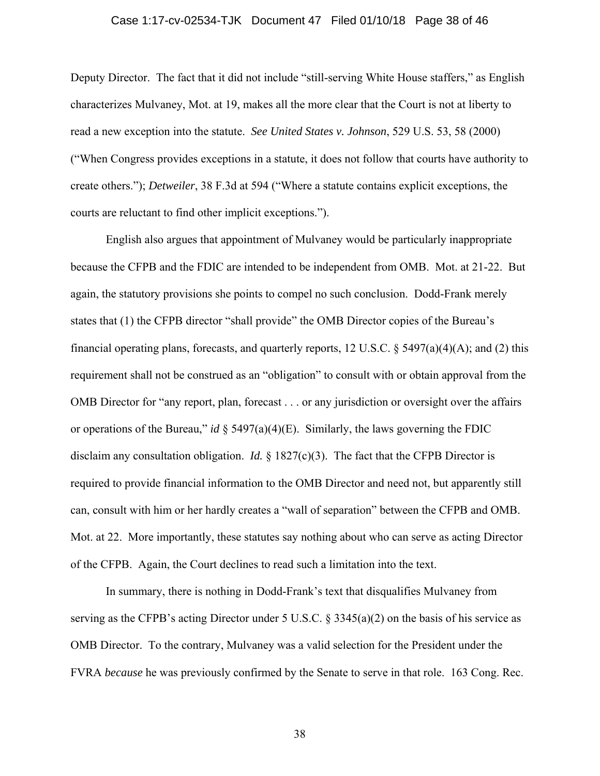#### Case 1:17-cv-02534-TJK Document 47 Filed 01/10/18 Page 38 of 46

Deputy Director. The fact that it did not include "still-serving White House staffers," as English characterizes Mulvaney, Mot. at 19, makes all the more clear that the Court is not at liberty to read a new exception into the statute. *See United States v. Johnson*, 529 U.S. 53, 58 (2000) ("When Congress provides exceptions in a statute, it does not follow that courts have authority to create others."); *Detweiler*, 38 F.3d at 594 ("Where a statute contains explicit exceptions, the courts are reluctant to find other implicit exceptions.").

English also argues that appointment of Mulvaney would be particularly inappropriate because the CFPB and the FDIC are intended to be independent from OMB. Mot. at 21-22. But again, the statutory provisions she points to compel no such conclusion. Dodd-Frank merely states that (1) the CFPB director "shall provide" the OMB Director copies of the Bureau's financial operating plans, forecasts, and quarterly reports, 12 U.S.C.  $\S$  5497(a)(4)(A); and (2) this requirement shall not be construed as an "obligation" to consult with or obtain approval from the OMB Director for "any report, plan, forecast . . . or any jurisdiction or oversight over the affairs or operations of the Bureau," *id* § 5497(a)(4)(E). Similarly, the laws governing the FDIC disclaim any consultation obligation. *Id.* § 1827(c)(3). The fact that the CFPB Director is required to provide financial information to the OMB Director and need not, but apparently still can, consult with him or her hardly creates a "wall of separation" between the CFPB and OMB. Mot. at 22. More importantly, these statutes say nothing about who can serve as acting Director of the CFPB. Again, the Court declines to read such a limitation into the text.

In summary, there is nothing in Dodd-Frank's text that disqualifies Mulvaney from serving as the CFPB's acting Director under 5 U.S.C. § 3345(a)(2) on the basis of his service as OMB Director. To the contrary, Mulvaney was a valid selection for the President under the FVRA *because* he was previously confirmed by the Senate to serve in that role. 163 Cong. Rec.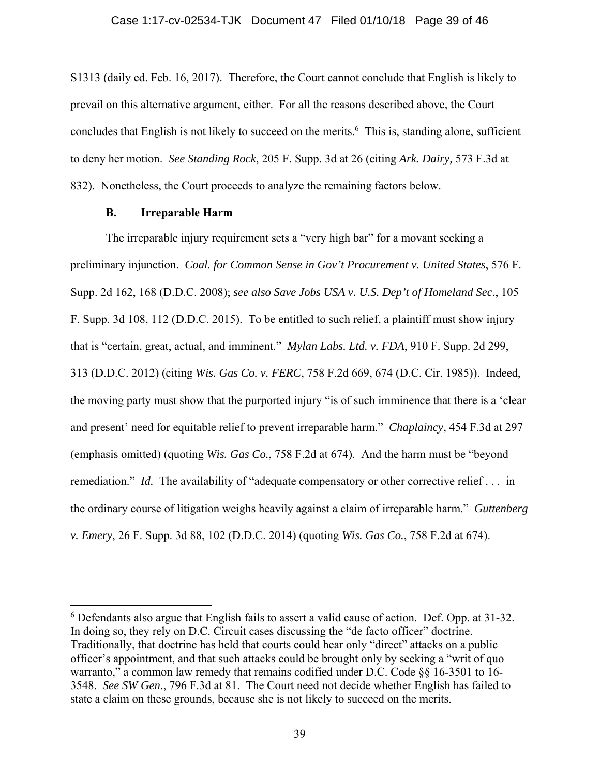S1313 (daily ed. Feb. 16, 2017). Therefore, the Court cannot conclude that English is likely to prevail on this alternative argument, either. For all the reasons described above, the Court concludes that English is not likely to succeed on the merits.<sup>6</sup> This is, standing alone, sufficient to deny her motion. *See Standing Rock*, 205 F. Supp. 3d at 26 (citing *Ark. Dairy,* 573 F.3d at 832). Nonetheless, the Court proceeds to analyze the remaining factors below.

## **B. Irreparable Harm**

 $\overline{a}$ 

The irreparable injury requirement sets a "very high bar" for a movant seeking a preliminary injunction. *Coal. for Common Sense in Gov't Procurement v. United States*, 576 F. Supp. 2d 162, 168 (D.D.C. 2008); *see also Save Jobs USA v. U.S. Dep't of Homeland Sec*., 105 F. Supp. 3d 108, 112 (D.D.C. 2015). To be entitled to such relief, a plaintiff must show injury that is "certain, great, actual, and imminent." *Mylan Labs. Ltd. v. FDA*, 910 F. Supp. 2d 299, 313 (D.D.C. 2012) (citing *Wis. Gas Co. v. FERC*, 758 F.2d 669, 674 (D.C. Cir. 1985)). Indeed, the moving party must show that the purported injury "is of such imminence that there is a 'clear and present' need for equitable relief to prevent irreparable harm." *Chaplaincy*, 454 F.3d at 297 (emphasis omitted) (quoting *Wis. Gas Co.*, 758 F.2d at 674). And the harm must be "beyond remediation." *Id.* The availability of "adequate compensatory or other corrective relief . . . in the ordinary course of litigation weighs heavily against a claim of irreparable harm." *Guttenberg v. Emery*, 26 F. Supp. 3d 88, 102 (D.D.C. 2014) (quoting *Wis. Gas Co.*, 758 F.2d at 674).

<sup>&</sup>lt;sup>6</sup> Defendants also argue that English fails to assert a valid cause of action. Def. Opp. at 31-32. In doing so, they rely on D.C. Circuit cases discussing the "de facto officer" doctrine. Traditionally, that doctrine has held that courts could hear only "direct" attacks on a public officer's appointment, and that such attacks could be brought only by seeking a "writ of quo warranto," a common law remedy that remains codified under D.C. Code §§ 16-3501 to 16-3548. *See SW Gen.*, 796 F.3d at 81. The Court need not decide whether English has failed to state a claim on these grounds, because she is not likely to succeed on the merits.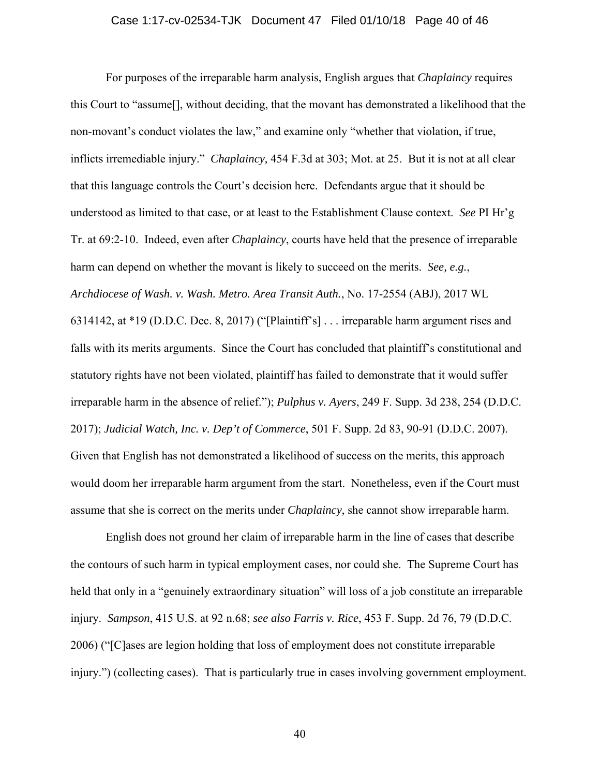#### Case 1:17-cv-02534-TJK Document 47 Filed 01/10/18 Page 40 of 46

For purposes of the irreparable harm analysis, English argues that *Chaplaincy* requires this Court to "assume[], without deciding, that the movant has demonstrated a likelihood that the non-movant's conduct violates the law," and examine only "whether that violation, if true, inflicts irremediable injury." *Chaplaincy,* 454 F.3d at 303; Mot. at 25. But it is not at all clear that this language controls the Court's decision here. Defendants argue that it should be understood as limited to that case, or at least to the Establishment Clause context. *See* PI Hr'g Tr. at 69:2-10. Indeed, even after *Chaplaincy*, courts have held that the presence of irreparable harm can depend on whether the movant is likely to succeed on the merits. *See, e.g.*, *Archdiocese of Wash. v. Wash. Metro. Area Transit Auth.*, No. 17-2554 (ABJ), 2017 WL 6314142, at \*19 (D.D.C. Dec. 8, 2017) ("[Plaintiff's] . . . irreparable harm argument rises and falls with its merits arguments. Since the Court has concluded that plaintiff's constitutional and statutory rights have not been violated, plaintiff has failed to demonstrate that it would suffer irreparable harm in the absence of relief."); *Pulphus v. Ayers*, 249 F. Supp. 3d 238, 254 (D.D.C. 2017); *Judicial Watch, Inc. v. Dep't of Commerce*, 501 F. Supp. 2d 83, 90-91 (D.D.C. 2007). Given that English has not demonstrated a likelihood of success on the merits, this approach would doom her irreparable harm argument from the start. Nonetheless, even if the Court must assume that she is correct on the merits under *Chaplaincy*, she cannot show irreparable harm.

English does not ground her claim of irreparable harm in the line of cases that describe the contours of such harm in typical employment cases, nor could she. The Supreme Court has held that only in a "genuinely extraordinary situation" will loss of a job constitute an irreparable injury. *Sampson*, 415 U.S. at 92 n.68; *see also Farris v. Rice*, 453 F. Supp. 2d 76, 79 (D.D.C. 2006) ("[C]ases are legion holding that loss of employment does not constitute irreparable injury.") (collecting cases). That is particularly true in cases involving government employment.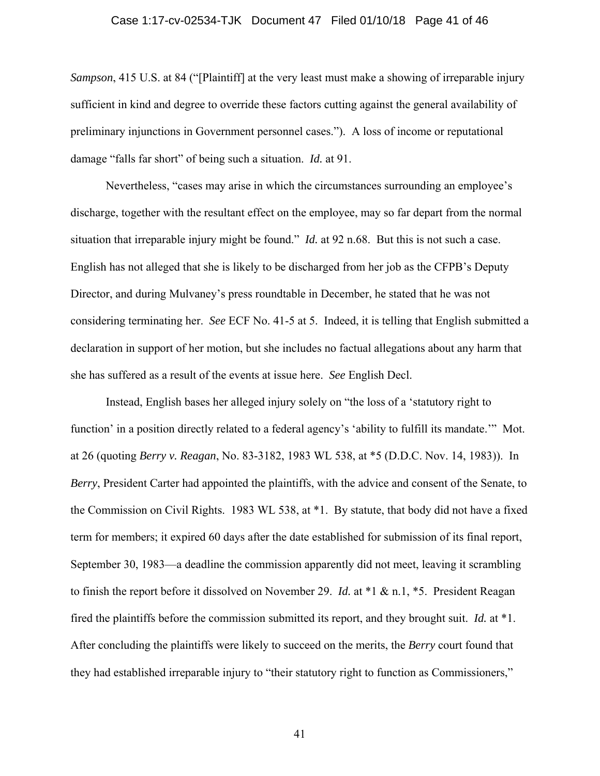#### Case 1:17-cv-02534-TJK Document 47 Filed 01/10/18 Page 41 of 46

*Sampson*, 415 U.S. at 84 ("[Plaintiff] at the very least must make a showing of irreparable injury sufficient in kind and degree to override these factors cutting against the general availability of preliminary injunctions in Government personnel cases."). A loss of income or reputational damage "falls far short" of being such a situation. *Id.* at 91.

Nevertheless, "cases may arise in which the circumstances surrounding an employee's discharge, together with the resultant effect on the employee, may so far depart from the normal situation that irreparable injury might be found." *Id.* at 92 n.68. But this is not such a case. English has not alleged that she is likely to be discharged from her job as the CFPB's Deputy Director, and during Mulvaney's press roundtable in December, he stated that he was not considering terminating her. *See* ECF No. 41-5 at 5. Indeed, it is telling that English submitted a declaration in support of her motion, but she includes no factual allegations about any harm that she has suffered as a result of the events at issue here. *See* English Decl.

Instead, English bases her alleged injury solely on "the loss of a 'statutory right to function' in a position directly related to a federal agency's 'ability to fulfill its mandate.'" Mot. at 26 (quoting *Berry v. Reagan*, No. 83-3182, 1983 WL 538, at \*5 (D.D.C. Nov. 14, 1983)). In *Berry*, President Carter had appointed the plaintiffs, with the advice and consent of the Senate, to the Commission on Civil Rights. 1983 WL 538, at \*1. By statute, that body did not have a fixed term for members; it expired 60 days after the date established for submission of its final report, September 30, 1983—a deadline the commission apparently did not meet, leaving it scrambling to finish the report before it dissolved on November 29. *Id.* at \*1 & n.1, \*5. President Reagan fired the plaintiffs before the commission submitted its report, and they brought suit. *Id.* at \*1. After concluding the plaintiffs were likely to succeed on the merits, the *Berry* court found that they had established irreparable injury to "their statutory right to function as Commissioners,"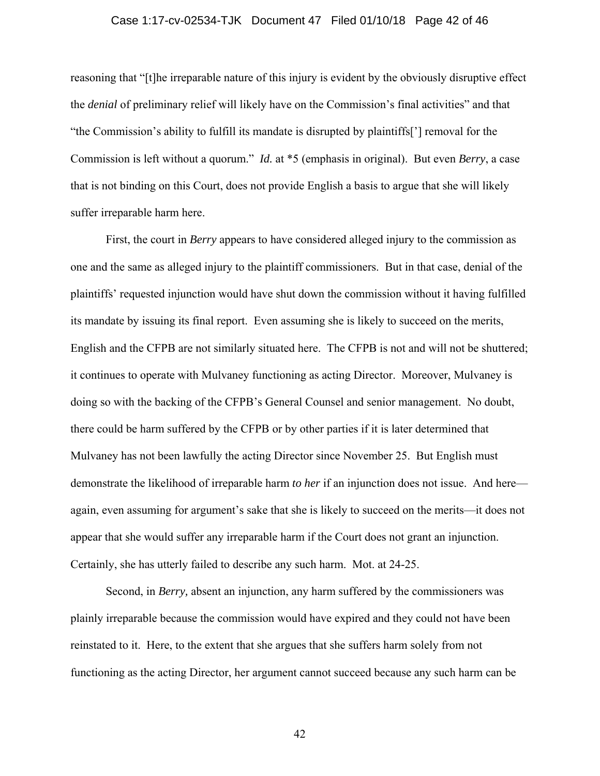#### Case 1:17-cv-02534-TJK Document 47 Filed 01/10/18 Page 42 of 46

reasoning that "[t]he irreparable nature of this injury is evident by the obviously disruptive effect the *denial* of preliminary relief will likely have on the Commission's final activities" and that "the Commission's ability to fulfill its mandate is disrupted by plaintiffs['] removal for the Commission is left without a quorum." *Id.* at \*5 (emphasis in original). But even *Berry*, a case that is not binding on this Court, does not provide English a basis to argue that she will likely suffer irreparable harm here.

First, the court in *Berry* appears to have considered alleged injury to the commission as one and the same as alleged injury to the plaintiff commissioners. But in that case, denial of the plaintiffs' requested injunction would have shut down the commission without it having fulfilled its mandate by issuing its final report. Even assuming she is likely to succeed on the merits, English and the CFPB are not similarly situated here. The CFPB is not and will not be shuttered; it continues to operate with Mulvaney functioning as acting Director. Moreover, Mulvaney is doing so with the backing of the CFPB's General Counsel and senior management. No doubt, there could be harm suffered by the CFPB or by other parties if it is later determined that Mulvaney has not been lawfully the acting Director since November 25. But English must demonstrate the likelihood of irreparable harm *to her* if an injunction does not issue. And here again, even assuming for argument's sake that she is likely to succeed on the merits—it does not appear that she would suffer any irreparable harm if the Court does not grant an injunction. Certainly, she has utterly failed to describe any such harm. Mot. at 24-25.

Second, in *Berry,* absent an injunction, any harm suffered by the commissioners was plainly irreparable because the commission would have expired and they could not have been reinstated to it. Here, to the extent that she argues that she suffers harm solely from not functioning as the acting Director, her argument cannot succeed because any such harm can be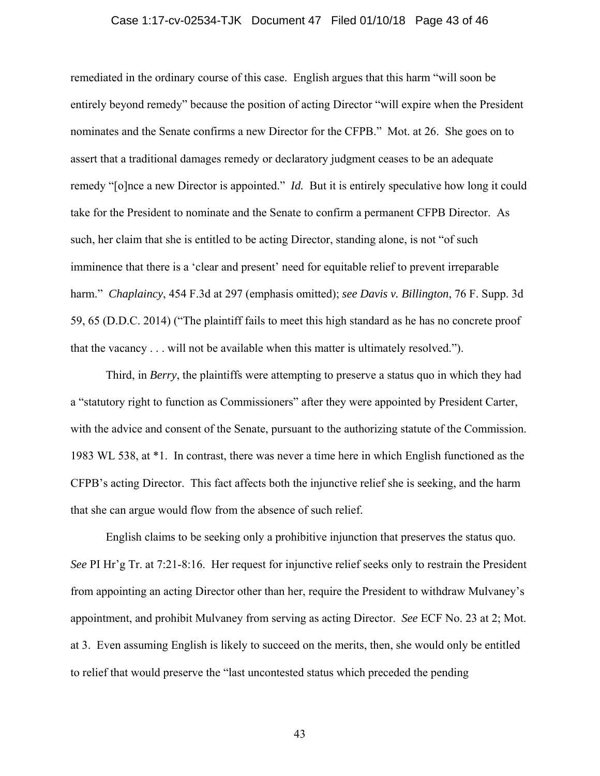#### Case 1:17-cv-02534-TJK Document 47 Filed 01/10/18 Page 43 of 46

remediated in the ordinary course of this case. English argues that this harm "will soon be entirely beyond remedy" because the position of acting Director "will expire when the President nominates and the Senate confirms a new Director for the CFPB." Mot. at 26. She goes on to assert that a traditional damages remedy or declaratory judgment ceases to be an adequate remedy "[o]nce a new Director is appointed." *Id.* But it is entirely speculative how long it could take for the President to nominate and the Senate to confirm a permanent CFPB Director. As such, her claim that she is entitled to be acting Director, standing alone, is not "of such imminence that there is a 'clear and present' need for equitable relief to prevent irreparable harm." *Chaplaincy*, 454 F.3d at 297 (emphasis omitted); *see Davis v. Billington*, 76 F. Supp. 3d 59, 65 (D.D.C. 2014) ("The plaintiff fails to meet this high standard as he has no concrete proof that the vacancy . . . will not be available when this matter is ultimately resolved.").

Third, in *Berry*, the plaintiffs were attempting to preserve a status quo in which they had a "statutory right to function as Commissioners" after they were appointed by President Carter, with the advice and consent of the Senate, pursuant to the authorizing statute of the Commission. 1983 WL 538, at \*1. In contrast, there was never a time here in which English functioned as the CFPB's acting Director. This fact affects both the injunctive relief she is seeking, and the harm that she can argue would flow from the absence of such relief.

English claims to be seeking only a prohibitive injunction that preserves the status quo. *See* PI Hr'g Tr. at 7:21-8:16. Her request for injunctive relief seeks only to restrain the President from appointing an acting Director other than her, require the President to withdraw Mulvaney's appointment, and prohibit Mulvaney from serving as acting Director. *See* ECF No. 23 at 2; Mot. at 3. Even assuming English is likely to succeed on the merits, then, she would only be entitled to relief that would preserve the "last uncontested status which preceded the pending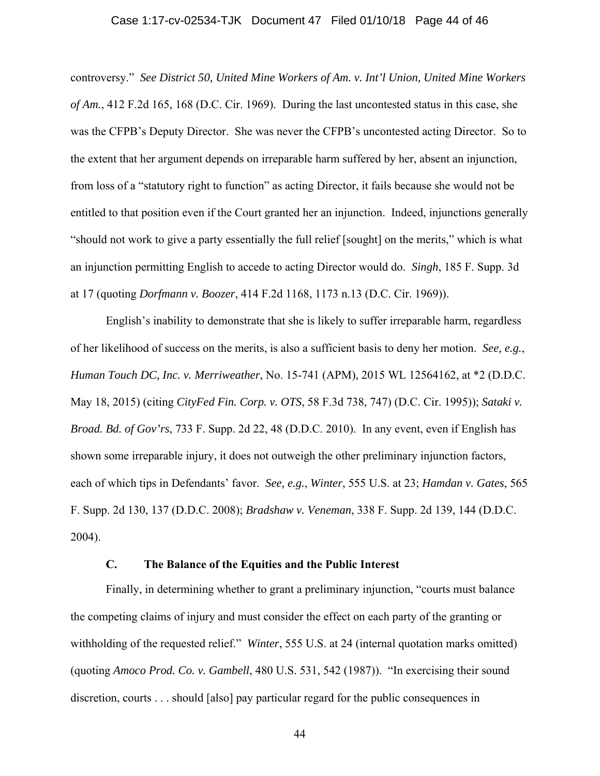#### Case 1:17-cv-02534-TJK Document 47 Filed 01/10/18 Page 44 of 46

controversy." *See District 50, United Mine Workers of Am. v. Int'l Union, United Mine Workers of Am.*, 412 F.2d 165, 168 (D.C. Cir. 1969). During the last uncontested status in this case, she was the CFPB's Deputy Director. She was never the CFPB's uncontested acting Director. So to the extent that her argument depends on irreparable harm suffered by her, absent an injunction, from loss of a "statutory right to function" as acting Director, it fails because she would not be entitled to that position even if the Court granted her an injunction. Indeed, injunctions generally "should not work to give a party essentially the full relief [sought] on the merits," which is what an injunction permitting English to accede to acting Director would do. *Singh*, 185 F. Supp. 3d at 17 (quoting *Dorfmann v. Boozer*, 414 F.2d 1168, 1173 n.13 (D.C. Cir. 1969)).

English's inability to demonstrate that she is likely to suffer irreparable harm, regardless of her likelihood of success on the merits, is also a sufficient basis to deny her motion. *See, e.g.*, *Human Touch DC, Inc. v. Merriweather*, No. 15-741 (APM), 2015 WL 12564162, at \*2 (D.D.C. May 18, 2015) (citing *CityFed Fin. Corp. v. OTS*, 58 F.3d 738, 747) (D.C. Cir. 1995)); *Sataki v. Broad. Bd. of Gov'rs*, 733 F. Supp. 2d 22, 48 (D.D.C. 2010). In any event, even if English has shown some irreparable injury, it does not outweigh the other preliminary injunction factors, each of which tips in Defendants' favor. *See, e.g.*, *Winter*, 555 U.S. at 23; *Hamdan v. Gates*, 565 F. Supp. 2d 130, 137 (D.D.C. 2008); *Bradshaw v. Veneman*, 338 F. Supp. 2d 139, 144 (D.D.C. 2004).

## **C. The Balance of the Equities and the Public Interest**

Finally, in determining whether to grant a preliminary injunction, "courts must balance the competing claims of injury and must consider the effect on each party of the granting or withholding of the requested relief." *Winter*, 555 U.S. at 24 (internal quotation marks omitted) (quoting *Amoco Prod. Co. v. Gambell*, 480 U.S. 531, 542 (1987)). "In exercising their sound discretion, courts . . . should [also] pay particular regard for the public consequences in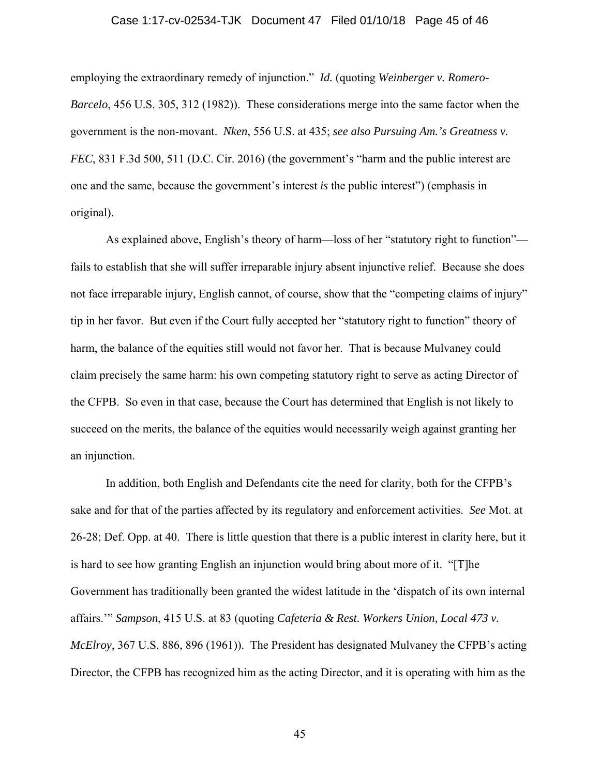#### Case 1:17-cv-02534-TJK Document 47 Filed 01/10/18 Page 45 of 46

employing the extraordinary remedy of injunction." *Id.* (quoting *Weinberger v. Romero-Barcelo*, 456 U.S. 305, 312 (1982)). These considerations merge into the same factor when the government is the non-movant. *Nken*, 556 U.S. at 435; *see also Pursuing Am.'s Greatness v. FEC*, 831 F.3d 500, 511 (D.C. Cir. 2016) (the government's "harm and the public interest are one and the same, because the government's interest *is* the public interest") (emphasis in original).

As explained above, English's theory of harm—loss of her "statutory right to function" fails to establish that she will suffer irreparable injury absent injunctive relief. Because she does not face irreparable injury, English cannot, of course, show that the "competing claims of injury" tip in her favor. But even if the Court fully accepted her "statutory right to function" theory of harm, the balance of the equities still would not favor her. That is because Mulvaney could claim precisely the same harm: his own competing statutory right to serve as acting Director of the CFPB. So even in that case, because the Court has determined that English is not likely to succeed on the merits, the balance of the equities would necessarily weigh against granting her an injunction.

In addition, both English and Defendants cite the need for clarity, both for the CFPB's sake and for that of the parties affected by its regulatory and enforcement activities. *See* Mot. at 26-28; Def. Opp. at 40. There is little question that there is a public interest in clarity here, but it is hard to see how granting English an injunction would bring about more of it. "[T]he Government has traditionally been granted the widest latitude in the 'dispatch of its own internal affairs.'" *Sampson*, 415 U.S. at 83 (quoting *Cafeteria & Rest. Workers Union, Local 473 v. McElroy*, 367 U.S. 886, 896 (1961)). The President has designated Mulvaney the CFPB's acting Director, the CFPB has recognized him as the acting Director, and it is operating with him as the